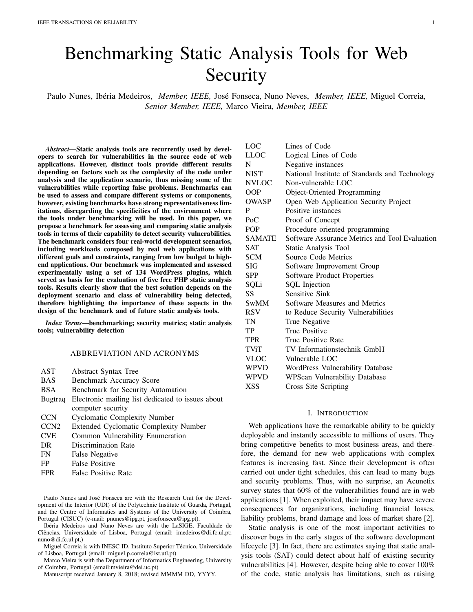# Benchmarking Static Analysis Tools for Web Security

Paulo Nunes, Ibéria Medeiros, *Member, IEEE, José Fonseca, Nuno Neves, Member, IEEE, Miguel Correia, Senior Member, IEEE,* Marco Vieira, *Member, IEEE*

*Abstract*—Static analysis tools are recurrently used by developers to search for vulnerabilities in the source code of web applications. However, distinct tools provide different results depending on factors such as the complexity of the code under analysis and the application scenario, thus missing some of the vulnerabilities while reporting false problems. Benchmarks can be used to assess and compare different systems or components, however, existing benchmarks have strong representativeness limitations, disregarding the specificities of the environment where the tools under benchmarking will be used. In this paper, we propose a benchmark for assessing and comparing static analysis tools in terms of their capability to detect security vulnerabilities. The benchmark considers four real-world development scenarios, including workloads composed by real web applications with different goals and constraints, ranging from low budget to highend applications. Our benchmark was implemented and assessed experimentally using a set of 134 WordPress plugins, which served as basis for the evaluation of five free PHP static analysis tools. Results clearly show that the best solution depends on the deployment scenario and class of vulnerability being detected, therefore highlighting the importance of these aspects in the design of the benchmark and of future static analysis tools.

*Index Terms*—benchmarking; security metrics; static analysis tools; vulnerability detection

## ABBREVIATION AND ACRONYMS

| AST              | <b>Abstract Syntax Tree</b>                       |
|------------------|---------------------------------------------------|
| <b>BAS</b>       | Benchmark Accuracy Score                          |
| <b>BSA</b>       | Benchmark for Security Automation                 |
| Bugtraq          | Electronic mailing list dedicated to issues about |
|                  | computer security                                 |
| <b>CCN</b>       | <b>Cyclomatic Complexity Number</b>               |
| CCN <sub>2</sub> | <b>Extended Cyclomatic Complexity Number</b>      |
| <b>CVE</b>       | Common Vulnerability Enumeration                  |
| DR               | Discrimination Rate                               |
| <b>FN</b>        | False Negative                                    |
| FP               | <b>False Positive</b>                             |
| <b>FPR</b>       | <b>False Positive Rate</b>                        |

Paulo Nunes and José Fonseca are with the Research Unit for the Development of the Interior (UDI) of the Polytechnic Institute of Guarda, Portugal, and the Centre of Informatics and Systems of the University of Coimbra, Portugal (CISUC) (e-mail: pnunes@ipg.pt, josefonseca@ipg.pt).

Iberia Medeiros and Nuno Neves are with the LaSIGE, Faculdade de ´ Ciências, Universidade of Lisboa, Portugal (email: imedeiros@di.fc.ul.pt; nuno@di.fc.ul.pt,)

Miguel Correia is with INESC-ID, Instituto Superior Técnico, Universidade of Lisboa, Portugal (email: miguel.p.correia@ist.utl.pt)

Marco Vieira is with the Department of Informatics Engineering, University of Coimbra, Portugal (email:mvieira@dei.uc.pt)

Manuscript received January 8, 2018; revised MMMM DD, YYYY.

| LOC           | Lines of Code                                  |
|---------------|------------------------------------------------|
| <b>LLOC</b>   | Logical Lines of Code                          |
| N             | Negative instances                             |
| <b>NIST</b>   | National Institute of Standards and Technology |
| <b>NVLOC</b>  | Non-vulnerable LOC                             |
| <b>OOP</b>    | Object-Oriented Programming                    |
| <b>OWASP</b>  | Open Web Application Security Project          |
| P             | Positive instances                             |
| PoC           | Proof of Concept                               |
| <b>POP</b>    | Procedure oriented programming                 |
| <b>SAMATE</b> | Software Assurance Metrics and Tool Evaluation |
| SAT           | Static Analysis Tool                           |
| <b>SCM</b>    | Source Code Metrics                            |
| SIG           | Software Improvement Group                     |
| <b>SPP</b>    | <b>Software Product Properties</b>             |
| SQLi          | SQL Injection                                  |
| SS            | <b>Sensitive Sink</b>                          |
| <b>SwMM</b>   | Software Measures and Metrics                  |
| <b>RSV</b>    | to Reduce Security Vulnerabilities             |
| TN            | True Negative                                  |
| TP            | <b>True Positive</b>                           |
| <b>TPR</b>    | True Positive Rate                             |
| <b>TViT</b>   | TV Informationstechnik GmbH                    |
| <b>VLOC</b>   | Vulnerable LOC                                 |
| <b>WPVD</b>   | WordPress Vulnerability Database               |
| <b>WPVD</b>   | WPScan Vulnerability Database                  |
| <b>XSS</b>    | Cross Site Scripting                           |

#### I. INTRODUCTION

Web applications have the remarkable ability to be quickly deployable and instantly accessible to millions of users. They bring competitive benefits to most business areas, and therefore, the demand for new web applications with complex features is increasing fast. Since their development is often carried out under tight schedules, this can lead to many bugs and security problems. Thus, with no surprise, an Acunetix survey states that 60% of the vulnerabilities found are in web applications [1]. When exploited, their impact may have severe consequences for organizations, including financial losses, liability problems, brand damage and loss of market share [2].

Static analysis is one of the most important activities to discover bugs in the early stages of the software development lifecycle [3]. In fact, there are estimates saying that static analysis tools (SAT) could detect about half of existing security vulnerabilities [4]. However, despite being able to cover 100% of the code, static analysis has limitations, such as raising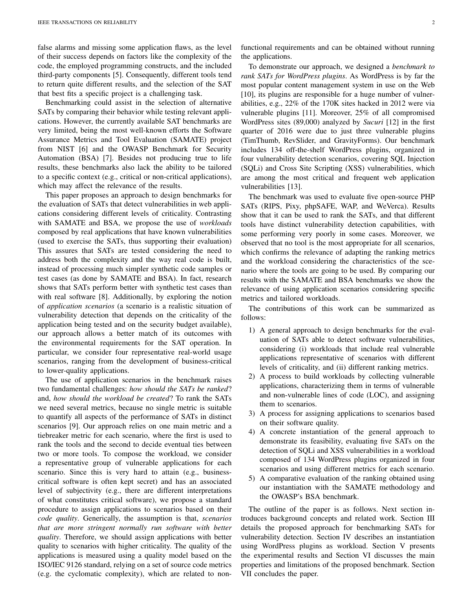false alarms and missing some application flaws, as the level of their success depends on factors like the complexity of the code, the employed programming constructs, and the included third-party components [5]. Consequently, different tools tend to return quite different results, and the selection of the SAT that best fits a specific project is a challenging task.

Benchmarking could assist in the selection of alternative SATs by comparing their behavior while testing relevant applications. However, the currently available SAT benchmarks are very limited, being the most well-known efforts the Software Assurance Metrics and Tool Evaluation (SAMATE) project from NIST [6] and the OWASP Benchmark for Security Automation (BSA) [7]. Besides not producing true to life results, these benchmarks also lack the ability to be tailored to a specific context (e.g., critical or non-critical applications), which may affect the relevance of the results.

This paper proposes an approach to design benchmarks for the evaluation of SATs that detect vulnerabilities in web applications considering different levels of criticality. Contrasting with SAMATE and BSA, we propose the use of *workloads* composed by real applications that have known vulnerabilities (used to exercise the SATs, thus supporting their evaluation) This assures that SATs are tested considering the need to address both the complexity and the way real code is built, instead of processing much simpler synthetic code samples or test cases (as done by SAMATE and BSA). In fact, research shows that SATs perform better with synthetic test cases than with real software [8]. Additionally, by exploring the notion of *application scenarios* (a scenario is a realistic situation of vulnerability detection that depends on the criticality of the application being tested and on the security budget available), our approach allows a better match of its outcomes with the environmental requirements for the SAT operation. In particular, we consider four representative real-world usage scenarios, ranging from the development of business-critical to lower-quality applications.

The use of application scenarios in the benchmark raises two fundamental challenges: *how should the SATs be ranked*? and, *how should the workload be created*? To rank the SATs we need several metrics, because no single metric is suitable to quantify all aspects of the performance of SATs in distinct scenarios [9]. Our approach relies on one main metric and a tiebreaker metric for each scenario, where the first is used to rank the tools and the second to decide eventual ties between two or more tools. To compose the workload, we consider a representative group of vulnerable applications for each scenario. Since this is very hard to attain (e.g., businesscritical software is often kept secret) and has an associated level of subjectivity (e.g., there are different interpretations of what constitutes critical software), we propose a standard procedure to assign applications to scenarios based on their *code quality*. Generically, the assumption is that, *scenarios that are more stringent normally run software with better quality*. Therefore, we should assign applications with better quality to scenarios with higher criticality. The quality of the applications is measured using a quality model based on the ISO/IEC 9126 standard, relying on a set of source code metrics (e.g. the cyclomatic complexity), which are related to nonfunctional requirements and can be obtained without running the applications.

To demonstrate our approach, we designed a *benchmark to rank SATs for WordPress plugins*. As WordPress is by far the most popular content management system in use on the Web [10], its plugins are responsible for a huge number of vulnerabilities, e.g., 22% of the 170K sites hacked in 2012 were via vulnerable plugins [11]. Moreover, 25% of all compromised WordPress sites (89,000) analyzed by *Sucuri* [12] in the first quarter of 2016 were due to just three vulnerable plugins (TimThumb, RevSlider, and GravityForms). Our benchmark includes 134 off-the-shelf WordPress plugins, organized in four vulnerability detection scenarios, covering SQL Injection (SQLi) and Cross Site Scripting (XSS) vulnerabilities, which are among the most critical and frequent web application vulnerabilities [13].

The benchmark was used to evaluate five open-source PHP SATs (RIPS, Pixy, phpSAFE, WAP, and WeVerca). Results show that it can be used to rank the SATs, and that different tools have distinct vulnerability detection capabilities, with some performing very poorly in some cases. Moreover, we observed that no tool is the most appropriate for all scenarios, which confirms the relevance of adapting the ranking metrics and the workload considering the characteristics of the scenario where the tools are going to be used. By comparing our results with the SAMATE and BSA benchmarks we show the relevance of using application scenarios considering specific metrics and tailored workloads.

The contributions of this work can be summarized as follows:

- 1) A general approach to design benchmarks for the evaluation of SATs able to detect software vulnerabilities, considering (i) workloads that include real vulnerable applications representative of scenarios with different levels of criticality, and (ii) different ranking metrics.
- 2) A process to build workloads by collecting vulnerable applications, characterizing them in terms of vulnerable and non-vulnerable lines of code (LOC), and assigning them to scenarios.
- 3) A process for assigning applications to scenarios based on their software quality.
- 4) A concrete instantiation of the general approach to demonstrate its feasibility, evaluating five SATs on the detection of SQLi and XSS vulnerabilities in a workload composed of 134 WordPress plugins organized in four scenarios and using different metrics for each scenario.
- 5) A comparative evaluation of the ranking obtained using our instantiation with the SAMATE methodology and the OWASP's BSA benchmark.

The outline of the paper is as follows. Next section introduces background concepts and related work. Section III details the proposed approach for benchmarking SATs for vulnerability detection. Section IV describes an instantiation using WordPress plugins as workload. Section V presents the experimental results and Section VI discusses the main properties and limitations of the proposed benchmark. Section VII concludes the paper.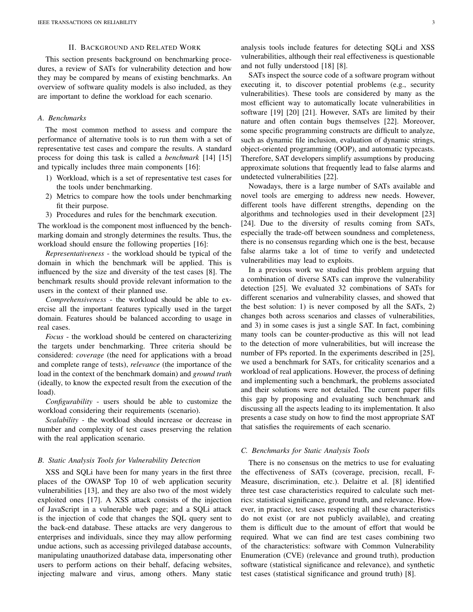## II. BACKGROUND AND RELATED WORK

This section presents background on benchmarking procedures, a review of SATs for vulnerability detection and how they may be compared by means of existing benchmarks. An overview of software quality models is also included, as they are important to define the workload for each scenario.

## *A. Benchmarks*

The most common method to assess and compare the performance of alternative tools is to run them with a set of representative test cases and compare the results. A standard process for doing this task is called a *benchmark* [14] [15] and typically includes three main components [16]:

- 1) Workload, which is a set of representative test cases for the tools under benchmarking.
- 2) Metrics to compare how the tools under benchmarking fit their purpose.
- 3) Procedures and rules for the benchmark execution.

The workload is the component most influenced by the benchmarking domain and strongly determines the results. Thus, the workload should ensure the following properties [16]:

*Representativeness* - the workload should be typical of the domain in which the benchmark will be applied. This is influenced by the size and diversity of the test cases [8]. The benchmark results should provide relevant information to the users in the context of their planned use.

*Comprehensiveness* - the workload should be able to exercise all the important features typically used in the target domain. Features should be balanced according to usage in real cases.

*Focus* - the workload should be centered on characterizing the targets under benchmarking. Three criteria should be considered: *coverage* (the need for applications with a broad and complete range of tests), *relevance* (the importance of the load in the context of the benchmark domain) and *ground truth* (ideally, to know the expected result from the execution of the load).

*Configurability* - users should be able to customize the workload considering their requirements (scenario).

*Scalability* - the workload should increase or decrease in number and complexity of test cases preserving the relation with the real application scenario.

#### *B. Static Analysis Tools for Vulnerability Detection*

XSS and SQLi have been for many years in the first three places of the OWASP Top 10 of web application security vulnerabilities [13], and they are also two of the most widely exploited ones [17]. A XSS attack consists of the injection of JavaScript in a vulnerable web page; and a SQLi attack is the injection of code that changes the SQL query sent to the back-end database. These attacks are very dangerous to enterprises and individuals, since they may allow performing undue actions, such as accessing privileged database accounts, manipulating unauthorized database data, impersonating other users to perform actions on their behalf, defacing websites, injecting malware and virus, among others. Many static

analysis tools include features for detecting SQLi and XSS vulnerabilities, although their real effectiveness is questionable and not fully understood [18] [8].

SATs inspect the source code of a software program without executing it, to discover potential problems (e.g., security vulnerabilities). These tools are considered by many as the most efficient way to automatically locate vulnerabilities in software [19] [20] [21]. However, SATs are limited by their nature and often contain bugs themselves [22]. Moreover, some specific programming constructs are difficult to analyze, such as dynamic file inclusion, evaluation of dynamic strings, object-oriented programming (OOP), and automatic typecasts. Therefore, SAT developers simplify assumptions by producing approximate solutions that frequently lead to false alarms and undetected vulnerabilities [22].

Nowadays, there is a large number of SATs available and novel tools are emerging to address new needs. However, different tools have different strengths, depending on the algorithms and technologies used in their development [23] [24]. Due to the diversity of results coming from SATs, especially the trade-off between soundness and completeness, there is no consensus regarding which one is the best, because false alarms take a lot of time to verify and undetected vulnerabilities may lead to exploits.

In a previous work we studied this problem arguing that a combination of diverse SATs can improve the vulnerability detection [25]. We evaluated 32 combinations of SATs for different scenarios and vulnerability classes, and showed that the best solution: 1) is never composed by all the SATs, 2) changes both across scenarios and classes of vulnerabilities, and 3) in some cases is just a single SAT. In fact, combining many tools can be counter-productive as this will not lead to the detection of more vulnerabilities, but will increase the number of FPs reported. In the experiments described in [25], we used a benchmark for SATs, for criticality scenarios and a workload of real applications. However, the process of defining and implementing such a benchmark, the problems associated and their solutions were not detailed. The current paper fills this gap by proposing and evaluating such benchmark and discussing all the aspects leading to its implementation. It also presents a case study on how to find the most appropriate SAT that satisfies the requirements of each scenario.

## *C. Benchmarks for Static Analysis Tools*

There is no consensus on the metrics to use for evaluating the effectiveness of SATs (coverage, precision, recall, F-Measure, discrimination, etc.). Delaitre et al. [8] identified three test case characteristics required to calculate such metrics: statistical significance, ground truth, and relevance. However, in practice, test cases respecting all these characteristics do not exist (or are not publicly available), and creating them is difficult due to the amount of effort that would be required. What we can find are test cases combining two of the characteristics: software with Common Vulnerability Enumeration (CVE) (relevance and ground truth), production software (statistical significance and relevance), and synthetic test cases (statistical significance and ground truth) [8].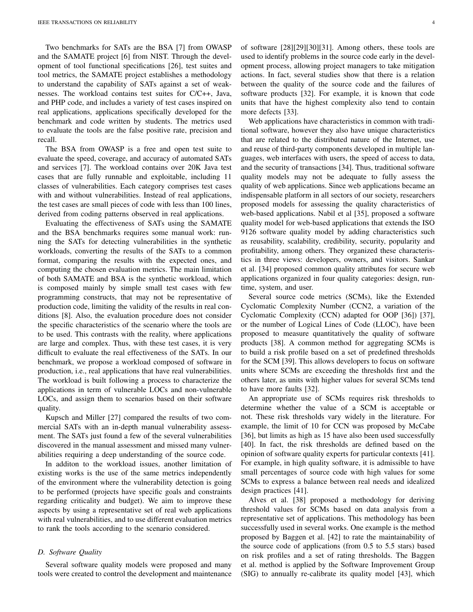Two benchmarks for SATs are the BSA [7] from OWASP and the SAMATE project [6] from NIST. Through the development of tool functional specifications [26], test suites and tool metrics, the SAMATE project establishes a methodology to understand the capability of SATs against a set of weaknesses. The workload contains test suites for C/C++, Java, and PHP code, and includes a variety of test cases inspired on real applications, applications specifically developed for the benchmark and code written by students. The metrics used to evaluate the tools are the false positive rate, precision and recall.

The BSA from OWASP is a free and open test suite to evaluate the speed, coverage, and accuracy of automated SATs and services [7]. The workload contains over 20K Java test cases that are fully runnable and exploitable, including 11 classes of vulnerabilities. Each category comprises test cases with and without vulnerabilities. Instead of real applications, the test cases are small pieces of code with less than 100 lines, derived from coding patterns observed in real applications.

Evaluating the effectiveness of SATs using the SAMATE and the BSA benchmarks requires some manual work: running the SATs for detecting vulnerabilities in the synthetic workloads, converting the results of the SATs to a common format, comparing the results with the expected ones, and computing the chosen evaluation metrics. The main limitation of both SAMATE and BSA is the synthetic workload, which is composed mainly by simple small test cases with few programming constructs, that may not be representative of production code, limiting the validity of the results in real conditions [8]. Also, the evaluation procedure does not consider the specific characteristics of the scenario where the tools are to be used. This contrasts with the reality, where applications are large and complex. Thus, with these test cases, it is very difficult to evaluate the real effectiveness of the SATs. In our benchmark, we propose a workload composed of software in production, i.e., real applications that have real vulnerabilities. The workload is built following a process to characterize the applications in term of vulnerable LOCs and non-vulnerable LOCs, and assign them to scenarios based on their software quality.

Kupsch and Miller [27] compared the results of two commercial SATs with an in-depth manual vulnerability assessment. The SATs just found a few of the several vulnerabilities discovered in the manual assessment and missed many vulnerabilities requiring a deep understanding of the source code.

In additon to the workload issues, another limitation of existing works is the use of the same metrics independently of the environment where the vulnerability detection is going to be performed (projects have specific goals and constraints regarding criticality and budget). We aim to improve these aspects by using a representative set of real web applications with real vulnerabilities, and to use different evaluation metrics to rank the tools according to the scenario considered.

# *D. Software Quality*

Several software quality models were proposed and many tools were created to control the development and maintenance of software [28][29][30][31]. Among others, these tools are used to identify problems in the source code early in the development process, allowing project managers to take mitigation actions. In fact, several studies show that there is a relation between the quality of the source code and the failures of software products [32]. For example, it is known that code units that have the highest complexity also tend to contain more defects [33].

Web applications have characteristics in common with traditional software, however they also have unique characteristics that are related to the distributed nature of the Internet, use and reuse of third-party components developed in multiple languages, web interfaces with users, the speed of access to data, and the security of transactions [34]. Thus, traditional software quality models may not be adequate to fully assess the quality of web applications. Since web applications became an indispensable platform in all sectors of our society, researchers proposed models for assessing the quality characteristics of web-based applications. Nabil et al [35], proposed a software quality model for web-based applications that extends the ISO 9126 software quality model by adding characteristics such as reusability, scalability, credibility, security, popularity and profitability, among others. They organized these characteristics in three views: developers, owners, and visitors. Sankar et al. [34] proposed common quality attributes for secure web applications organized in four quality categories: design, runtime, system, and user.

Several source code metrics (SCMs), like the Extended Cyclomatic Complexity Number (CCN2, a variation of the Cyclomatic Complexity (CCN) adapted for OOP [36]) [37], or the number of Logical Lines of Code (LLOC), have been proposed to measure quantitatively the quality of software products [38]. A common method for aggregating SCMs is to build a risk profile based on a set of predefined thresholds for the SCM [39]. This allows developers to focus on software units where SCMs are exceeding the thresholds first and the others later, as units with higher values for several SCMs tend to have more faults [32].

An appropriate use of SCMs requires risk thresholds to determine whether the value of a SCM is acceptable or not. These risk thresholds vary widely in the literature. For example, the limit of 10 for CCN was proposed by McCabe [36], but limits as high as 15 have also been used successfully [40]. In fact, the risk thresholds are defined based on the opinion of software quality experts for particular contexts [41]. For example, in high quality software, it is admissible to have small percentages of source code with high values for some SCMs to express a balance between real needs and idealized design practices [41].

Alves et al. [38] proposed a methodology for deriving threshold values for SCMs based on data analysis from a representative set of applications. This methodology has been successfully used in several works. One example is the method proposed by Baggen et al. [42] to rate the maintainability of the source code of applications (from 0.5 to 5.5 stars) based on risk profiles and a set of rating thresholds. The Baggen et al. method is applied by the Software Improvement Group (SIG) to annually re-calibrate its quality model [43], which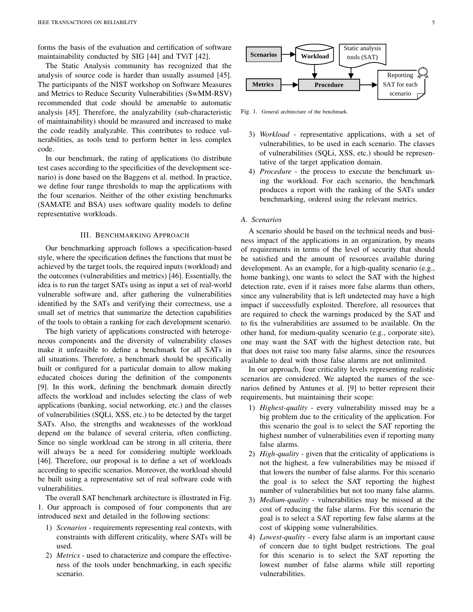forms the basis of the evaluation and certification of software maintainability conducted by SIG [44] and TViT [42].

The Static Analysis community has recognized that the analysis of source code is harder than usually assumed [45]. The participants of the NIST workshop on Software Measures and Metrics to Reduce Security Vulnerabilities (SwMM-RSV) recommended that code should be amenable to automatic analysis [45]. Therefore, the analyzability (sub-characteristic of maintainability) should be measured and increased to make the code readily analyzable. This contributes to reduce vulnerabilities, as tools tend to perform better in less complex code.

In our benchmark, the rating of applications (to distribute test cases according to the specificities of the development scenario) is done based on the Baggens et al. method. In practice, we define four range thresholds to map the applications with the four scenarios. Neither of the other existing benchmarks (SAMATE and BSA) uses software quality models to define representative workloads.

## III. BENCHMARKING APPROACH

Our benchmarking approach follows a specification-based style, where the specification defines the functions that must be achieved by the target tools, the required inputs (workload) and the outcomes (vulnerabilities and metrics) [46]. Essentially, the idea is to run the target SATs using as input a set of real-world vulnerable software and, after gathering the vulnerabilities identified by the SATs and verifying their correctness, use a small set of metrics that summarize the detection capabilities of the tools to obtain a ranking for each development scenario.

The high variety of applications constructed with heterogeneous components and the diversity of vulnerability classes make it unfeasible to define a benchmark for all SATs in all situations. Therefore, a benchmark should be specifically built or configured for a particular domain to allow making educated choices during the definition of the components [9]. In this work, defining the benchmark domain directly affects the workload and includes selecting the class of web applications (banking, social networking, etc.) and the classes of vulnerabilities (SQLi, XSS, etc.) to be detected by the target SATs. Also, the strengths and weaknesses of the workload depend on the balance of several criteria, often conflicting. Since no single workload can be strong in all criteria, there will always be a need for considering multiple workloads [46]. Therefore, our proposal is to define a set of workloads according to specific scenarios. Moreover, the workload should be built using a representative set of real software code with vulnerabilities.

The overall SAT benchmark architecture is illustrated in Fig. 1. Our approach is composed of four components that are introduced next and detailed in the following sections:

- 1) *Scenarios* requirements representing real contexts, with constraints with different criticality, where SATs will be used.
- 2) *Metrics* used to characterize and compare the effectiveness of the tools under benchmarking, in each specific scenario.



Fig. 1. General architecture of the benchmark.

- 3) *Workload* representative applications, with a set of vulnerabilities, to be used in each scenario. The classes of vulnerabilities (SQLi, XSS, etc.) should be representative of the target application domain.
- 4) *Procedure* the process to execute the benchmark using the workload. For each scenario, the benchmark produces a report with the ranking of the SATs under benchmarking, ordered using the relevant metrics.

## *A. Scenarios*

A scenario should be based on the technical needs and business impact of the applications in an organization, by means of requirements in terms of the level of security that should be satisfied and the amount of resources available during development. As an example, for a high-quality scenario (e.g., home banking), one wants to select the SAT with the highest detection rate, even if it raises more false alarms than others, since any vulnerability that is left undetected may have a high impact if successfully exploited. Therefore, all resources that are required to check the warnings produced by the SAT and to fix the vulnerabilities are assumed to be available. On the other hand, for medium-quality scenario (e.g., corporate site), one may want the SAT with the highest detection rate, but that does not raise too many false alarms, since the resources available to deal with those false alarms are not unlimited.

In our approach, four criticality levels representing realistic scenarios are considered. We adapted the names of the scenarios defined by Antunes et al. [9] to better represent their requirements, but maintaining their scope:

- 1) *Highest-quality* every vulnerability missed may be a big problem due to the criticality of the application. For this scenario the goal is to select the SAT reporting the highest number of vulnerabilities even if reporting many false alarms.
- 2) *High-quality* given that the criticality of applications is not the highest, a few vulnerabilities may be missed if that lowers the number of false alarms. For this scenario the goal is to select the SAT reporting the highest number of vulnerabilities but not too many false alarms.
- 3) *Medium-quality* vulnerabilities may be missed at the cost of reducing the false alarms. For this scenario the goal is to select a SAT reporting few false alarms at the cost of skipping some vulnerabilities.
- 4) *Lowest-quality* every false alarm is an important cause of concern due to tight budget restrictions. The goal for this scenario is to select the SAT reporting the lowest number of false alarms while still reporting vulnerabilities.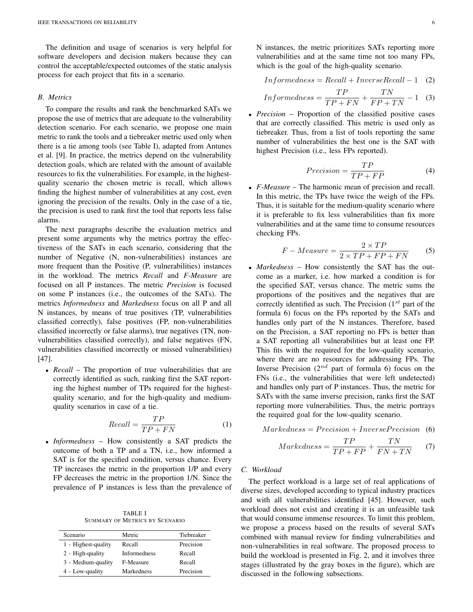The definition and usage of scenarios is very helpful for software developers and decision makers because they can control the acceptable/expected outcomes of the static analysis process for each project that fits in a scenario.

## *B. Metrics*

To compare the results and rank the benchmarked SATs we propose the use of metrics that are adequate to the vulnerability detection scenario. For each scenario, we propose one main metric to rank the tools and a tiebreaker metric used only when there is a tie among tools (see Table I), adapted from Antunes et al. [9]. In practice, the metrics depend on the vulnerability detection goals, which are related with the amount of available resources to fix the vulnerabilities. For example, in the highestquality scenario the chosen metric is recall, which allows finding the highest number of vulnerabilities at any cost, even ignoring the precision of the results. Only in the case of a tie, the precision is used to rank first the tool that reports less false alarms.

The next paragraphs describe the evaluation metrics and present some arguments why the metrics portray the effectiveness of the SATs in each scenario, considering that the number of Negative (N, non-vulnerabilities) instances are more frequent than the Positive (P, vulnerabilities) instances in the workload. The metrics *Recall* and *F-Measure* are focused on all P instances. The metric *Precision* is focused on some P instances (i.e., the outcomes of the SATs). The metrics *Informedness* and *Markedness* focus on all P and all N instances, by means of true positives (TP, vulnerabilities classified correctly), false positives (FP, non-vulnerabilities classified incorrectly or false alarms), true negatives (TN, nonvulnerabilities classified correctly), and false negatives (FN, vulnerabilities classified incorrectly or missed vulnerabilities) [47].

• *Recall* – The proportion of true vulnerabilities that are correctly identified as such, ranking first the SAT reporting the highest number of TPs required for the highestquality scenario, and for the high-quality and mediumquality scenarios in case of a tie.

$$
Recall = \frac{TP}{TP + FN} \tag{1}
$$

• *Informedness* – How consistently a SAT predicts the outcome of both a TP and a TN, i.e., how informed a SAT is for the specified condition, versus chance. Every TP increases the metric in the proportion 1/P and every FP decreases the metric in the proportion 1/N. Since the prevalence of P instances is less than the prevalence of

TABLE I SUMMARY OF METRICS BY SCENARIO

| Scenario            | Metric              | Tiebreaker |
|---------------------|---------------------|------------|
| 1 - Highest-quality | Recall              | Precision  |
| 2 - High-quality    | <b>Informedness</b> | Recall     |
| 3 - Medium-quality  | F-Measure           | Recall     |
| 4 - Low-quality     | Markedness          | Precision  |

N instances, the metric prioritizes SATs reporting more vulnerabilities and at the same time not too many FPs, which is the goal of the high-quality scenario.

$$
Informedness = Recall + InverseRecall - 1 \quad (2)
$$

$$
Informedness = \frac{TP}{TP + FN} + \frac{TN}{FP + TN} - 1
$$
 (3)

• *Precision* – Proportion of the classified positive cases that are correctly classified. This metric is used only as tiebreaker. Thus, from a list of tools reporting the same number of vulnerabilities the best one is the SAT with highest Precision (i.e., less FPs reported).

$$
Precision = \frac{TP}{TP + FP}
$$
 (4)

• *F-Measure* – The harmonic mean of precision and recall. In this metric, the TPs have twice the weigh of the FPs. Thus, it is suitable for the medium-quality scenario where it is preferable to fix less vulnerabilities than fix more vulnerabilities and at the same time to consume resources checking FPs.

$$
F-Measure = \frac{2 \times TP}{2 \times TP + FP + FN}
$$
 (5)

• *Markedness* – How consistently the SAT has the outcome as a marker, i.e. how marked a condition is for the specified SAT, versus chance. The metric sums the proportions of the positives and the negatives that are correctly identified as such. The Precision  $(1<sup>st</sup>$  part of the formula 6) focus on the FPs reported by the SATs and handles only part of the N instances. Therefore, based on the Precision, a SAT reporting no FPs is better than a SAT reporting all vulnerabilities but at least one FP. This fits with the required for the low-quality scenario, where there are no resources for addressing FPs. The Inverse Precision  $(2^{nd}$  part of formula 6) focus on the FNs (i.e., the vulnerabilities that were left undetected) and handles only part of P instances. Thus, the metric for SATs with the same inverse precision, ranks first the SAT reporting more vulnerabilities. Thus, the metric portrays the required goal for the low-quality scenario.

$$
Markedness = Precision + Inverse Precision \quad (6)
$$

$$
Marketness = \frac{TP}{TP + FP} + \frac{TN}{FN + TN} \tag{7}
$$

#### *C. Workload*

The perfect workload is a large set of real applications of diverse sizes, developed according to typical industry practices and with all vulnerabilities identified [45]. However, such workload does not exist and creating it is an unfeasible task that would consume immense resources. To limit this problem, we propose a process based on the results of several SATs combined with manual review for finding vulnerabilities and non-vulnerabilities in real software. The proposed process to build the workload is presented in Fig. 2, and it involves three stages (illustrated by the gray boxes in the figure), which are discussed in the following subsections.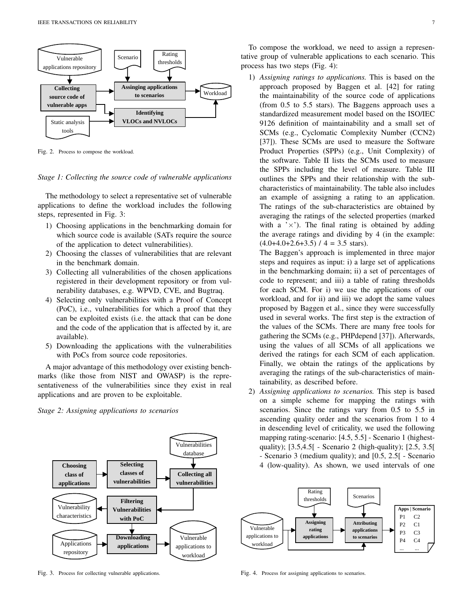

Fig. 2. Process to compose the workload.

## *Stage 1: Collecting the source code of vulnerable applications*

The methodology to select a representative set of vulnerable applications to define the workload includes the following steps, represented in Fig. 3:

- 1) Choosing applications in the benchmarking domain for which source code is available (SATs require the source of the application to detect vulnerabilities).
- 2) Choosing the classes of vulnerabilities that are relevant in the benchmark domain.
- 3) Collecting all vulnerabilities of the chosen applications registered in their development repository or from vulnerability databases, e.g. WPVD, CVE, and Bugtraq.
- 4) Selecting only vulnerabilities with a Proof of Concept (PoC), i.e., vulnerabilities for which a proof that they can be exploited exists (i.e. the attack that can be done and the code of the application that is affected by it, are available).
- 5) Downloading the applications with the vulnerabilities with PoCs from source code repositories.

A major advantage of this methodology over existing benchmarks (like those from NIST and OWASP) is the representativeness of the vulnerabilities since they exist in real applications and are proven to be exploitable.

*Stage 2: Assigning applications to scenarios*



Fig. 3. Process for collecting vulnerable applications.

1) *Assigning ratings to applications.* This is based on the approach proposed by Baggen et al. [42] for rating the maintainability of the source code of applications (from 0.5 to 5.5 stars). The Baggens approach uses a standardized measurement model based on the ISO/IEC 9126 definition of maintainability and a small set of SCMs (e.g., Cyclomatic Complexity Number (CCN2) [37]). These SCMs are used to measure the Software Product Properties (SPPs) (e.g., Unit Complexity) of the software. Table II lists the SCMs used to measure the SPPs including the level of measure. Table III outlines the SPPs and their relationship with the subcharacteristics of maintainability. The table also includes an example of assigning a rating to an application. The ratings of the sub-characteristics are obtained by averaging the ratings of the selected properties (marked with a  $' \times$ '). The final rating is obtained by adding the average ratings and dividing by 4 (in the example:  $(4.0+4.0+2.6+3.5)$  / 4 = 3.5 stars).

The Baggen's approach is implemented in three major steps and requires as input: i) a large set of applications in the benchmarking domain; ii) a set of percentages of code to represent; and iii) a table of rating thresholds for each SCM. For i) we use the applications of our workload, and for ii) and iii) we adopt the same values proposed by Baggen et al., since they were successfully used in several works. The first step is the extraction of the values of the SCMs. There are many free tools for gathering the SCMs (e.g., PHPdepend [37]). Afterwards, using the values of all SCMs of all applications we derived the ratings for each SCM of each application. Finally, we obtain the ratings of the applications by averaging the ratings of the sub-characteristics of maintainability, as described before.

2) *Assigning applications to scenarios.* This step is based on a simple scheme for mapping the ratings with scenarios. Since the ratings vary from 0.5 to 5.5 in ascending quality order and the scenarios from 1 to 4 in descending level of criticality, we used the following mapping rating-scenario: [4.5, 5.5] - Scenario 1 (highestquality); [3.5,4.5[ - Scenario 2 (high-quality); [2.5, 3.5[ - Scenario 3 (medium quality); and [0.5, 2.5[ - Scenario 4 (low-quality). As shown, we used intervals of one



Fig. 4. Process for assigning applications to scenarios.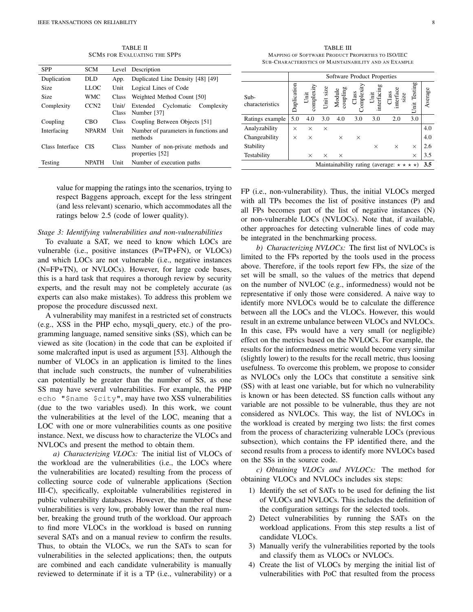TABLE II SCMS FOR EVALUATING THE SPPS

| <b>SPP</b>      | <b>SCM</b>       |                | Level Description                                    |  |  |  |  |  |
|-----------------|------------------|----------------|------------------------------------------------------|--|--|--|--|--|
| Duplication     | DLD.             | App.           | Duplicated Line Density [48] [49]                    |  |  |  |  |  |
| <b>Size</b>     | LLOC             | Unit           | Logical Lines of Code                                |  |  |  |  |  |
| Size            | <b>WMC</b>       | Class          | Weighted Method Count [50]                           |  |  |  |  |  |
| Complexity      | CCN <sub>2</sub> | Unit/<br>Class | Extended Cyclomatic<br>Complexity<br>Number [37]     |  |  |  |  |  |
| Coupling        | CBO              | Class          | Coupling Between Objects [51]                        |  |  |  |  |  |
| Interfacing     | <b>NPARM</b>     | Unit           | Number of parameters in functions and<br>methods     |  |  |  |  |  |
| Class Interface | CIS              | Class          | Number of non-private methods and<br>properties [52] |  |  |  |  |  |
| Testing         | NPATH            | Unit           | Number of execution paths.                           |  |  |  |  |  |
|                 |                  |                |                                                      |  |  |  |  |  |

value for mapping the ratings into the scenarios, trying to respect Baggens approach, except for the less stringent (and less relevant) scenario, which accommodates all the ratings below 2.5 (code of lower quality).

#### *Stage 3: Identifying vulnerabilities and non-vulnerabilities*

To evaluate a SAT, we need to know which LOCs are vulnerable (i.e., positive instances (P=TP+FN), or VLOCs) and which LOCs are not vulnerable (i.e., negative instances (N=FP+TN), or NVLOCs). However, for large code bases, this is a hard task that requires a thorough review by security experts, and the result may not be completely accurate (as experts can also make mistakes). To address this problem we propose the procedure discussed next.

A vulnerability may manifest in a restricted set of constructs (e.g., XSS in the PHP echo, mysqli query, etc.) of the programming language, named sensitive sinks (SS), which can be viewed as site (location) in the code that can be exploited if some malcrafted input is used as argument [53]. Although the number of VLOCs in an application is limited to the lines that include such constructs, the number of vulnerabilities can potentially be greater than the number of SS, as one SS may have several vulnerabilities. For example, the PHP echo "\$name \$city", may have two XSS vulnerabilities (due to the two variables used). In this work, we count the vulnerabilities at the level of the LOC, meaning that a LOC with one or more vulnerabilities counts as one positive instance. Next, we discuss how to characterize the VLOCs and NVLOCs and present the method to obtain them.

*a) Characterizing VLOCs:* The initial list of VLOCs of the workload are the vulnerabilities (i.e., the LOCs where the vulnerabilities are located) resulting from the process of collecting source code of vulnerable applications (Section III-C), specifically, exploitable vulnerabilities registered in public vulnerability databases. However, the number of these vulnerabilities is very low, probably lower than the real number, breaking the ground truth of the workload. Our approach to find more VLOCs in the workload is based on running several SATs and on a manual review to confirm the results. Thus, to obtain the VLOCs, we run the SATs to scan for vulnerabilities in the selected applications; then, the outputs are combined and each candidate vulnerability is manually reviewed to determinate if it is a TP (i.e., vulnerability) or a

TABLE III MAPPING OF SOFTWARE PRODUCT PROPERTIES TO ISO/IEC SUB-CHARACTERISTICS OF MAINTAINABILITY AND AN EXAMPLE

|                         |             | <b>Software Product Properties</b>                                                                                                                                       |          |          |          |          |                                                                              |                     |         |  |  |  |
|-------------------------|-------------|--------------------------------------------------------------------------------------------------------------------------------------------------------------------------|----------|----------|----------|----------|------------------------------------------------------------------------------|---------------------|---------|--|--|--|
| Sub-<br>characteristics | Juplication | Unit<br>complexity<br>Unit size<br>$\frac{1}{2}$<br>Module<br>$\frac{1}{2}$<br>Class<br>Class<br>Class<br>$\frac{1}{2}$<br>Class<br>complexity<br>intitude $\frac{1}{2}$ |          |          |          |          | $\begin{array}{c}\text{Class} \\ \text{interface} \\ \text{size}\end{array}$ | <b>Testing</b><br>Ĵ | Average |  |  |  |
| Ratings example         | 5.0         | 4.0                                                                                                                                                                      | 3.0      | 4.0      | 3.0      | 3.0      | 2.0                                                                          | 3.0                 |         |  |  |  |
| Analyzability           | X           | $\times$                                                                                                                                                                 | $\times$ |          |          |          |                                                                              |                     | 4.0     |  |  |  |
| Changeability           | ×           | $\times$                                                                                                                                                                 |          | $\times$ | $\times$ |          |                                                                              |                     | 4.0     |  |  |  |
| Stability               |             |                                                                                                                                                                          |          |          |          | $\times$ | $\times$                                                                     | $\times$            | 2.6     |  |  |  |
| Testability             |             | X                                                                                                                                                                        | $\times$ | $\times$ |          |          |                                                                              | $\times$            | 3.5     |  |  |  |
|                         |             |                                                                                                                                                                          |          |          |          |          | Maintainability rating (average: $\star \star \star \star$ )                 |                     | 3.5     |  |  |  |

FP (i.e., non-vulnerability). Thus, the initial VLOCs merged with all TPs becomes the list of positive instances (P) and all FPs becomes part of the list of negative instances (N) or non-vulnerable LOCs (NVLOCs). Note that, if available, other approaches for detecting vulnerable lines of code may be integrated in the benchmarking process.

*b) Characterizing NVLOCs:* The first list of NVLOCs is limited to the FPs reported by the tools used in the process above. Therefore, if the tools report few FPs, the size of the set will be small, so the values of the metrics that depend on the number of NVLOC (e.g., informedness) would not be representative if only those were considered. A naive way to identify more NVLOCs would be to calculate the difference between all the LOCs and the VLOCs. However, this would result in an extreme unbalance between VLOCs and NVLOCs. In this case, FPs would have a very small (or negligible) effect on the metrics based on the NVLOCs. For example, the results for the informedness metric would become very similar (slightly lower) to the results for the recall metric, thus loosing usefulness. To overcome this problem, we propose to consider as NVLOCs only the LOCs that constitute a sensitive sink (SS) with at least one variable, but for which no vulnerability is known or has been detected. SS function calls without any variable are not possible to be vulnerable, thus they are not considered as NVLOCs. This way, the list of NVLOCs in the workload is created by merging two lists: the first comes from the process of characterizing vulnerable LOCs (previous subsection), which contains the FP identified there, and the second results from a process to identify more NVLOCs based on the SSs in the source code.

*c) Obtaining VLOCs and NVLOCs:* The method for obtaining VLOCs and NVLOCs includes six steps:

- 1) Identify the set of SATs to be used for defining the list of VLOCs and NVLOCs. This includes the definition of the configuration settings for the selected tools.
- 2) Detect vulnerabilities by running the SATs on the workload applications. From this step results a list of candidate VLOCs.
- 3) Manually verify the vulnerabilities reported by the tools and classify them as VLOCs or NVLOCs.
- 4) Create the list of VLOCs by merging the initial list of vulnerabilities with PoC that resulted from the process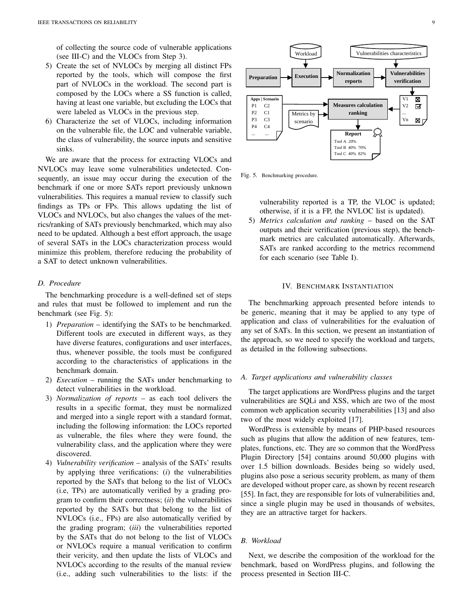of collecting the source code of vulnerable applications (see III-C) and the VLOCs from Step 3).

- 5) Create the set of NVLOCs by merging all distinct FPs reported by the tools, which will compose the first part of NVLOCs in the workload. The second part is composed by the LOCs where a SS function is called, having at least one variable, but excluding the LOCs that were labeled as VLOCs in the previous step.
- 6) Characterize the set of VLOCs, including information on the vulnerable file, the LOC and vulnerable variable, the class of vulnerability, the source inputs and sensitive sinks.

We are aware that the process for extracting VLOCs and NVLOCs may leave some vulnerabilities undetected. Consequently, an issue may occur during the execution of the benchmark if one or more SATs report previously unknown vulnerabilities. This requires a manual review to classify such findings as TPs or FPs. This allows updating the list of VLOCs and NVLOCs, but also changes the values of the metrics/ranking of SATs previously benchmarked, which may also need to be updated. Although a best effort approach, the usage of several SATs in the LOCs characterization process would minimize this problem, therefore reducing the probability of a SAT to detect unknown vulnerabilities.

#### *D. Procedure*

The benchmarking procedure is a well-defined set of steps and rules that must be followed to implement and run the benchmark (see Fig. 5):

- 1) *Preparation* identifying the SATs to be benchmarked. Different tools are executed in different ways, as they have diverse features, configurations and user interfaces, thus, whenever possible, the tools must be configured according to the characteristics of applications in the benchmark domain.
- 2) *Execution* running the SATs under benchmarking to detect vulnerabilities in the workload.
- 3) *Normalization of reports* as each tool delivers the results in a specific format, they must be normalized and merged into a single report with a standard format, including the following information: the LOCs reported as vulnerable, the files where they were found, the vulnerability class, and the application where they were discovered.
- 4) *Vulnerability verification* analysis of the SATs' results by applying three verifications: (*i*) the vulnerabilities reported by the SATs that belong to the list of VLOCs (i.e, TPs) are automatically verified by a grading program to confirm their correctness; (*ii*) the vulnerabilities reported by the SATs but that belong to the list of NVLOCs (i.e., FPs) are also automatically verified by the grading program; (*iii*) the vulnerabilities reported by the SATs that do not belong to the list of VLOCs or NVLOCs require a manual verification to confirm their vericity, and then update the lists of VLOCs and NVLOCs according to the results of the manual review (i.e., adding such vulnerabilities to the lists: if the



Fig. 5. Benchmarking procedure.

vulnerability reported is a TP, the VLOC is updated; otherwise, if it is a FP, the NVLOC list is updated).

5) *Metrics calculation and ranking* – based on the SAT outputs and their verification (previous step), the benchmark metrics are calculated automatically. Afterwards, SATs are ranked according to the metrics recommend for each scenario (see Table I).

## IV. BENCHMARK INSTANTIATION

The benchmarking approach presented before intends to be generic, meaning that it may be applied to any type of application and class of vulnerabilities for the evaluation of any set of SATs. In this section, we present an instantiation of the approach, so we need to specify the workload and targets, as detailed in the following subsections.

## *A. Target applications and vulnerability classes*

The target applications are WordPress plugins and the target vulnerabilities are SQLi and XSS, which are two of the most common web application security vulnerabilities [13] and also two of the most widely exploited [17].

WordPress is extensible by means of PHP-based resources such as plugins that allow the addition of new features, templates, functions, etc. They are so common that the WordPress Plugin Directory [54] contains around 50,000 plugins with over 1.5 billion downloads. Besides being so widely used, plugins also pose a serious security problem, as many of them are developed without proper care, as shown by recent research [55]. In fact, they are responsible for lots of vulnerabilities and, since a single plugin may be used in thousands of websites, they are an attractive target for hackers.

## *B. Workload*

Next, we describe the composition of the workload for the benchmark, based on WordPress plugins, and following the process presented in Section III-C.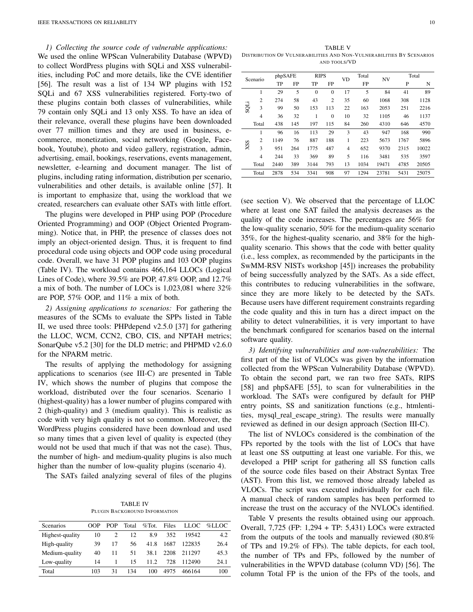*1) Collecting the source code of vulnerable applications:* We used the online WPScan Vulnerability Database (WPVD) to collect WordPress plugins with SQLi and XSS vulnerabilities, including PoC and more details, like the CVE identifier [56]. The result was a list of 134 WP plugins with 152 SQLi and 67 XSS vulnerabilities registered. Forty-two of these plugins contain both classes of vulnerabilities, while 79 contain only SQLi and 13 only XSS. To have an idea of their relevance, overall these plugins have been downloaded over 77 million times and they are used in business, ecommerce, monetization, social networking (Google, Facebook, Youtube), photo and video gallery, registration, admin, advertising, email, bookings, reservations, events management, newsletter, e-learning and document manager. The list of plugins, including rating information, distribution per scenario, vulnerabilities and other details, is available online [57]. It is important to emphasize that, using the workload that we created, researchers can evaluate other SATs with little effort.

The plugins were developed in PHP using POP (Procedure Oriented Programming) and OOP (Object Oriented Programming). Notice that, in PHP, the presence of classes does not imply an object-oriented design. Thus, it is frequent to find procedural code using objects and OOP code using procedural code. Overall, we have 31 POP plugins and 103 OOP plugins (Table IV). The workload contains 466,164 LLOCs (Logical Lines of Code), where 39.5% are POP, 47.8% OOP, and 12.7% a mix of both. The number of LOCs is 1,023,081 where 32% are POP, 57% OOP, and 11% a mix of both.

*2) Assigning applications to scenarios:* For gathering the measures of the SCMs to evaluate the SPPs listed in Table II, we used three tools: PHPdepend v2.5.0 [37] for gathering the LLOC, WCM, CCN2, CBO, CIS, and NPTAH metrics; SonarQube v5.2 [30] for the DLD metric; and PHPMD v2.6.0 for the NPARM metric.

The results of applying the methodology for assigning applications to scenarios (see III-C) are presented in Table IV, which shows the number of plugins that compose the workload, distributed over the four scenarios. Scenario 1 (highest-quality) has a lower number of plugins compared with 2 (high-quality) and 3 (medium quality). This is realistic as code with very high quality is not so common. Moreover, the WordPress plugins considered have been download and used so many times that a given level of quality is expected (they would not be used that much if that was not the case). Thus, the number of high- and medium-quality plugins is also much higher than the number of low-quality plugins (scenario 4).

The SATs failed analyzing several of files of the plugins

TABLE IV PLUGIN BACKGROUND INFORMATION

| Scenarios       | OOP | <b>POP</b> | Total | $\%$ Tot. | Files | LLOC   | %LIOC |
|-----------------|-----|------------|-------|-----------|-------|--------|-------|
| Highest-quality | 10  | 2          | 12    | 89        | 352   | 19542  | 4.2   |
| High-quality    | 39  | 17         | 56    | 41.8      | 1687  | 122835 | 26.4  |
| Medium-quality  | 40  | 11         | 51    | 38.1      | 2208  | 211297 | 45.3  |
| Low-quality     | 14  |            | 15    | 11.2.     | 728   | 112490 | 24.1  |
| Total           | 103 | 31         | 134   | 100       | 4975  | 466164 | 100   |

TABLE V DISTRIBUTION OF VULNERABILITIES AND NON-VULNERABILITIES BY SCENARIOS AND TOOLS/VD

|      | Scenario       | phpSAFE |     | <b>RIPS</b> |                | <b>VD</b>      | Total | <b>NV</b> | Total |       |
|------|----------------|---------|-----|-------------|----------------|----------------|-------|-----------|-------|-------|
|      |                | TP      | FP  | TP          | FP             | FP             |       |           | P     | N     |
|      | 1              | 29      | 5   | $\theta$    | $\theta$       | 17             | 5     | 84        | 41    | 89    |
|      | $\overline{2}$ | 274     | 58  | 43          | $\overline{2}$ | 35             | 60    | 1068      | 308   | 1128  |
| SQLi | 3              | 99      | 50  | 153         | 113            | 22             | 163   | 2053      | 251   | 2216  |
|      | 4              | 36      | 32  | 1           | $\Omega$       | 10             | 32    | 1105      | 46    | 1137  |
|      | Total          | 438     | 145 | 197         | 115            | 84             | 260   | 4310      | 646   | 4570  |
|      | 1              | 96      | 16  | 113         | 29             | 3              | 43    | 947       | 168   | 990   |
|      | $\overline{c}$ | 1149    | 76  | 887         | 188            | 1              | 223   | 5673      | 1767  | 5896  |
| XSS  | 3              | 951     | 264 | 1775        | 487            | $\overline{4}$ | 652   | 9370      | 2315  | 10022 |
|      | $\overline{4}$ | 244     | 33  | 369         | 89             | 5              | 116   | 3481      | 535   | 3597  |
|      | Total          | 2440    | 389 | 3144        | 793            | 13             | 1034  | 19471     | 4785  | 20505 |
|      | Total          | 2878    | 534 | 3341        | 908            | 97             | 1294  | 23781     | 5431  | 25075 |

(see section V). We observed that the percentage of LLOC where at least one SAT failed the analysis decreases as the quality of the code increases. The percentages are 56% for the low-quality scenario, 50% for the medium-quality scenario 35%, for the highest-quality scenario, and 38% for the highquality scenario. This shows that the code with better quality (i.e., less complex, as recommended by the participants in the SwMM-RSV NISTs workshop [45]) increases the probability of being successfully analyzed by the SATs. As a side effect, this contributes to reducing vulnerabilities in the software, since they are more likely to be detected by the SATs. Because users have different requirement constraints regarding the code quality and this in turn has a direct impact on the ability to detect vulnerabilities, it is very important to have the benchmark configured for scenarios based on the internal software quality.

*3) Identifying vulnerabilities and non-vulnerabilities:* The first part of the list of VLOCs was given by the information collected from the WPScan Vulnerability Database (WPVD). To obtain the second part, we ran two free SATs, RIPS [58] and phpSAFE [55], to scan for vulnerabilities in the workload. The SATs were configured by default for PHP entry points, SS and sanitization functions (e.g., htmlentities, mysql real escape string). The results were manually reviewed as defined in our design approach (Section III-C).

The list of NVLOCs considered is the combination of the FPs reported by the tools with the list of LOCs that have at least one SS outputting at least one variable. For this, we developed a PHP script for gathering all SS function calls of the source code files based on their Abstract Syntax Tree (AST). From this list, we removed those already labeled as VLOCs. The script was executed individually for each file. A manual check of random samples has been performed to increase the trust on the accuracy of the NVLOCs identified.

Table V presents the results obtained using our approach. Overall, 7,725 (FP: 1,294 + TP: 5,431) LOCs were extracted from the outputs of the tools and manually reviewed (80.8% of TPs and 19.2% of FPs). The table depicts, for each tool, the number of TPs and FPs, followed by the number of vulnerabilities in the WPVD database (column VD) [56]. The column Total FP is the union of the FPs of the tools, and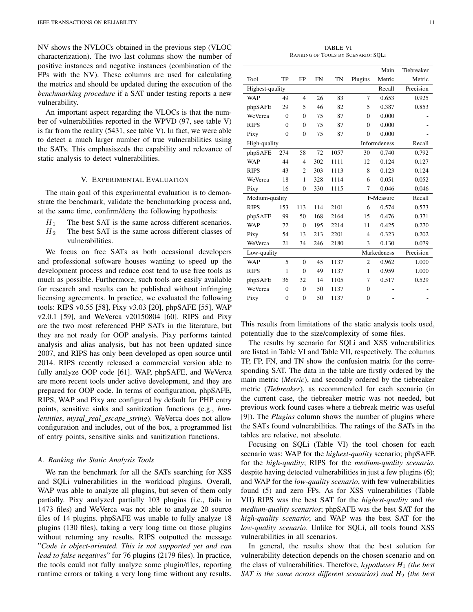NV shows the NVLOCs obtained in the previous step (VLOC characterization). The two last columns show the number of positive instances and negative instances (combination of the FPs with the NV). These columns are used for calculating the metrics and should be updated during the execution of the *benchmarking procedure* if a SAT under testing reports a new vulnerability.

An important aspect regarding the VLOCs is that the number of vulnerabilities reported in the WPVD (97, see table V) is far from the reality (5431, see table V). In fact, we were able to detect a much larger number of true vulnerabilities using the SATs. This emphasiszeds the capability and relevance of static analysis to detect vulnerabilities.

## V. EXPERIMENTAL EVALUATION

The main goal of this experimental evaluation is to demonstrate the benchmark, validate the benchmarking process and, at the same time, confirm/deny the following hypothesis:

- $H_1$  The best SAT is the same across different scenarios.
- $H<sub>2</sub>$  The best SAT is the same across different classes of vulnerabilities.

We focus on free SATs as both occasional developers and professional software houses wanting to speed up the development process and reduce cost tend to use free tools as much as possible. Furthermore, such tools are easily available for research and results can be published without infringing licensing agreements. In practice, we evaluated the following tools: RIPS v0.55 [58], Pixy v3.03 [20], phpSAFE [55], WAP v2.0.1 [59], and WeVerca v20150804 [60]. RIPS and Pixy are the two most referenced PHP SATs in the literature, but they are not ready for OOP analysis. Pixy performs tainted analysis and alias analysis, but has not been updated since 2007, and RIPS has only been developed as open source until 2014. RIPS recently released a commercial version able to fully analyze OOP code [61]. WAP, phpSAFE, and WeVerca are more recent tools under active development, and they are prepared for OOP code. In terms of configuration, phpSAFE, RIPS, WAP and Pixy are configured by default for PHP entry points, sensitive sinks and sanitization functions (e.g., *htmlentities*, *mysql real escape string*). WeVerca does not allow configuration and includes, out of the box, a programmed list of entry points, sensitive sinks and sanitization functions.

#### *A. Ranking the Static Analysis Tools*

We ran the benchmark for all the SATs searching for XSS and SQLi vulnerabilities in the workload plugins. Overall, WAP was able to analyze all plugins, but seven of them only partially. Pixy analyzed partially 103 plugins (i.e., fails in 1473 files) and WeVerca was not able to analyze 20 source files of 14 plugins. phpSAFE was unable to fully analyze 18 plugins (130 files), taking a very long time on those plugins without returning any results. RIPS outputted the message "*Code is object-oriented. This is not supported yet and can lead to false negatives*" for 76 plugins (2179 files). In practice, the tools could not fully analyze some plugin/files, reporting runtime errors or taking a very long time without any results.

TABLE VI RANKING OF TOOLS BY SCENARIO: SQLI

|                 |                |                |     |           |                | Main                | Tiebreaker |
|-----------------|----------------|----------------|-----|-----------|----------------|---------------------|------------|
| Tool            | TP             | FP             | FN  | <b>TN</b> | Plugins        | Metric              | Metric     |
| Highest-quality |                |                |     |           | Recall         | Precision           |            |
| <b>WAP</b>      | 49             | $\overline{4}$ | 26  | 83        | 7              | 0.653               | 0.925      |
| phpSAFE         | 29             | 5              | 46  | 82        | 5              | 0.387               | 0.853      |
| WeVerca         | $\theta$       | $\overline{0}$ | 75  | 87        | $\theta$       | 0.000               |            |
| <b>RIPS</b>     | $\Omega$       | $\overline{0}$ | 75  | 87        | $\theta$       | 0.000               |            |
| Pixy            | $\mathbf{0}$   | $\overline{0}$ | 75  | 87        | $\overline{0}$ | 0.000               |            |
| High-quality    |                |                |     |           |                | <b>Informdeness</b> | Recall     |
| phpSAFE         | 274            | 58             | 72  | 1057      | 30             | 0.740               | 0.792      |
| <b>WAP</b>      | 44             | $\overline{4}$ | 302 | 1111      | 12             | 0.124               | 0.127      |
| <b>RIPS</b>     | 43             | $\overline{2}$ | 303 | 1113      | 8              | 0.123               | 0.124      |
| WeVerca         | 18             | 1              | 328 | 1114      | 6              | 0.051               | 0.052      |
| Pixy            | 16             | $\mathbf{0}$   | 330 | 1115      | 7              | 0.046               | 0.046      |
| Medium-quality  |                |                |     |           |                | F-Measure           | Recall     |
| <b>RIPS</b>     | 153            | 113            | 114 | 2101      | 6              | 0.574               | 0.573      |
| phpSAFE         | 99             | 50             | 168 | 2164      | 15             | 0.476               | 0.371      |
| <b>WAP</b>      | 72             | $\overline{0}$ | 195 | 2214      | 11             | 0.425               | 0.270      |
| Pixy            | 54             | 13             | 213 | 2201      | $\overline{4}$ | 0.323               | 0.202      |
| WeVerca         | 21             | 34             | 246 | 2180      | 3              | 0.130               | 0.079      |
| Low-quality     |                |                |     |           |                | Markedeness         | Precision  |
| <b>WAP</b>      | 5              | $\overline{0}$ | 45  | 1137      | $\overline{2}$ | 0.962               | 1.000      |
| <b>RIPS</b>     | 1              | $\overline{0}$ | 49  | 1137      | 1              | 0.959               | 1.000      |
| phpSAFE         | 36             | 32             | 14  | 1105      | 7              | 0.517               | 0.529      |
| WeVerca         | $\theta$       | $\overline{0}$ | 50  | 1137      | $\mathbf{0}$   |                     |            |
| Pixy            | $\overline{0}$ | $\mathbf{0}$   | 50  | 1137      | $\overline{0}$ |                     |            |

This results from limitations of the static analysis tools used, potentially due to the size/complexity of some files.

The results by scenario for SQLi and XSS vulnerabilities are listed in Table VI and Table VII, respectively. The columns TP, FP, FN, and TN show the confusion matrix for the corresponding SAT. The data in the table are firstly ordered by the main metric (*Metric*), and secondly ordered by the tiebreaker metric (*Tiebreaker*), as recommended for each scenario (in the current case, the tiebreaker metric was not needed, but previous work found cases where a tiebreak metric was useful [9]). The *Plugins* column shows the number of plugins where the SATs found vulnerabilities. The ratings of the SATs in the tables are relative, not absolute.

Focusing on SQLi (Table VI) the tool chosen for each scenario was: WAP for the *highest-quality* scenario; phpSAFE for the *high-quality*; RIPS for the *medium-quality scenario*, despite having detected vulnerabilities in just a few plugins (6); and WAP for the *low-quality scenario*, with few vulnerabilities found (5) and zero FPs. As for XSS vulnerabilities (Table VII) RIPS was the best SAT for the *highest-quality* and *the medium-quality scenarios*; phpSAFE was the best SAT for the *high-quality scenario*; and WAP was the best SAT for the *low-quality scenario*. Unlike for SQLi, all tools found XSS vulnerabilities in all scenarios.

In general, the results show that the best solution for vulnerability detection depends on the chosen scenario and on the class of vulnerabilities. Therefore, *hypotheses H*<sup>1</sup> *(the best SAT is the same across different scenarios) and H*<sup>2</sup> *(the best*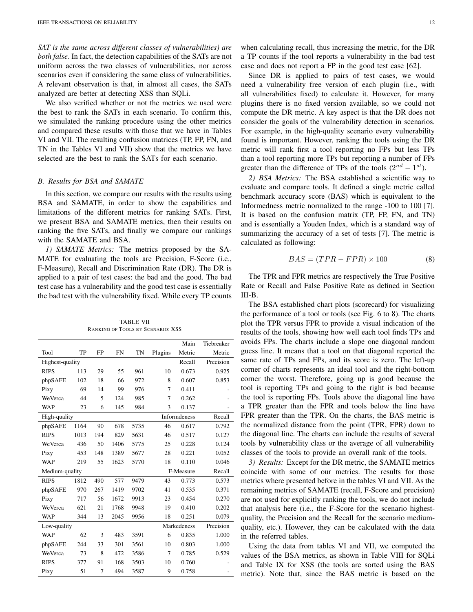*SAT is the same across different classes of vulnerabilities) are both false*. In fact, the detection capabilities of the SATs are not uniform across the two classes of vulnerabilities, nor across scenarios even if considering the same class of vulnerabilities. A relevant observation is that, in almost all cases, the SATs analyzed are better at detecting XSS than SQLi.

We also verified whether or not the metrics we used were the best to rank the SATs in each scenario. To confirm this, we simulated the ranking procedure using the other metrics and compared these results with those that we have in Tables VI and VII. The resulting confusion matrices (TP, FP, FN, and TN in the Tables VI and VII) show that the metrics we have selected are the best to rank the SATs for each scenario.

#### *B. Results for BSA and SAMATE*

In this section, we compare our results with the results using BSA and SAMATE, in order to show the capabilities and limitations of the different metrics for ranking SATs. First, we present BSA and SAMATE metrics, then their results on ranking the five SATs, and finally we compare our rankings with the SAMATE and BSA.

*1) SAMATE Metrics:* The metrics proposed by the SA-MATE for evaluating the tools are Precision, F-Score (i.e., F-Measure), Recall and Discrimination Rate (DR). The DR is applied to a pair of test cases: the bad and the good. The bad test case has a vulnerability and the good test case is essentially the bad test with the vulnerability fixed. While every TP counts

TABLE VII RANKING OF TOOLS BY SCENARIO: XSS

|                 |      |     |      |      |           | Main                | Tiebreaker |
|-----------------|------|-----|------|------|-----------|---------------------|------------|
| Tool            | TP   | FP  | FN   | TN   | Plugins   | Metric              | Metric     |
| Highest-quality |      |     |      |      |           | Recall              | Precision  |
| <b>RIPS</b>     | 113  | 29  | 55   | 961  | 10        | 0.673               | 0.925      |
| phpSAFE         | 102  | 18  | 66   | 972  | 8         | 0.607               | 0.853      |
| Pixy            | 69   | 14  | 99   | 976  | 7         | 0.411               |            |
| WeVerca         | 44   | 5   | 124  | 985  | 7         | 0.262               |            |
| <b>WAP</b>      | 23   | 6   | 145  | 984  | 3         | 0.137               |            |
| High-quality    |      |     |      |      |           | <b>Informdeness</b> | Recall     |
| phpSAFE         | 1164 | 90  | 678  | 5735 | 46        | 0.617               | 0.792      |
| <b>RIPS</b>     | 1013 | 194 | 829  | 5631 | 46        | 0.517               | 0.127      |
| WeVerca         | 436  | 50  | 1406 | 5775 | 25        | 0.228               | 0.124      |
| Pixy            | 453  | 148 | 1389 | 5677 | 28        | 0.221               | 0.052      |
| <b>WAP</b>      | 219  | 55  | 1623 | 5770 | 18        | 0.110               | 0.046      |
| Medium-quality  |      |     |      |      | F-Measure | Recall              |            |
| <b>RIPS</b>     | 1812 | 490 | 577  | 9479 | 43        | 0.773               | 0.573      |
| phpSAFE         | 970  | 267 | 1419 | 9702 | 41        | 0.535               | 0.371      |
| Pixy            | 717  | 56  | 1672 | 9913 | 23        | 0.454               | 0.270      |
| WeVerca         | 621  | 21  | 1768 | 9948 | 19        | 0.410               | 0.202      |
| <b>WAP</b>      | 344  | 13  | 2045 | 9956 | 18        | 0.251               | 0.079      |
| Low-quality     |      |     |      |      |           | Markedeness         | Precision  |
| <b>WAP</b>      | 62   | 3   | 483  | 3591 | 6         | 0.835               | 1.000      |
| phpSAFE         | 244  | 33  | 301  | 3561 | 10        | 0.803               | 1.000      |
| WeVerca         | 73   | 8   | 472  | 3586 | 7         | 0.785               | 0.529      |
| <b>RIPS</b>     | 377  | 91  | 168  | 3503 | 10        | 0.760               |            |
| Pixy            | 51   | 7   | 494  | 3587 | 9         | 0.758               |            |

Since DR is applied to pairs of test cases, we would need a vulnerability free version of each plugin (i.e., with all vulnerabilities fixed) to calculate it. However, for many plugins there is no fixed version available, so we could not compute the DR metric. A key aspect is that the DR does not consider the goals of the vulnerability detection in scenarios. For example, in the high-quality scenario every vulnerability found is important. However, ranking the tools using the DR metric will rank first a tool reporting no FPs but less TPs than a tool reporting more TPs but reporting a number of FPs greater than the difference of TPs of the tools  $(2^{nd} – 1^{st})$ .

*2) BSA Metrics:* The BSA established a scientific way to evaluate and compare tools. It defined a single metric called benchmark accuracy score (BAS) which is equivalent to the Informedness metric normalized to the range -100 to 100 [7]. It is based on the confusion matrix (TP, FP, FN, and TN) and is essentially a Youden Index, which is a standard way of summarizing the accuracy of a set of tests [7]. The metric is calculated as following:

$$
BAS = (TPR - FPR) \times 100\tag{8}
$$

The TPR and FPR metrics are respectively the True Positive Rate or Recall and False Positive Rate as defined in Section III-B.

The BSA established chart plots (scorecard) for visualizing the performance of a tool or tools (see Fig. 6 to 8). The charts plot the TPR versus FPR to provide a visual indication of the results of the tools, showing how well each tool finds TPs and avoids FPs. The charts include a slope one diagonal random guess line. It means that a tool on that diagonal reported the same rate of TPs and FPs, and its score is zero. The left-up corner of charts represents an ideal tool and the right-bottom corner the worst. Therefore, going up is good because the tool is reporting TPs and going to the right is bad because the tool is reporting FPs. Tools above the diagonal line have a TPR greater than the FPR and tools below the line have FPR greater than the TPR. On the charts, the BAS metric is the normalized distance from the point (TPR, FPR) down to the diagonal line. The charts can include the results of several tools by vulnerability class or the average of all vulnerability classes of the tools to provide an overall rank of the tools.

*3) Results:* Except for the DR metric, the SAMATE metrics coincide with some of our metrics. The results for those metrics where presented before in the tables VI and VII. As the remaining metrics of SAMATE (recall, F-Score and precision) are not used for explicitly ranking the tools, we do not include that analysis here (i.e., the F-Score for the scenario highestquality, the Precision and the Recall for the scenario mediumquality, etc.). However, they can be calculated with the data in the referred tables.

Using the data from tables VI and VII, we computed the values of the BSA metrics, as shown in Table VIII for SQLi and Table IX for XSS (the tools are sorted using the BAS metric). Note that, since the BAS metric is based on the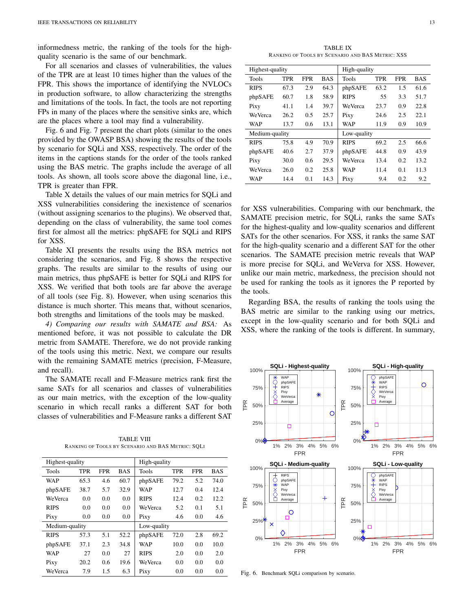informedness metric, the ranking of the tools for the highquality scenario is the same of our benchmark.

For all scenarios and classes of vulnerabilities, the values of the TPR are at least 10 times higher than the values of the FPR. This shows the importance of identifying the NVLOCs in production software, to allow characterizing the strengths and limitations of the tools. In fact, the tools are not reporting FPs in many of the places where the sensitive sinks are, which are the places where a tool may find a vulnerability.

Fig. 6 and Fig. 7 present the chart plots (similar to the ones provided by the OWASP BSA) showing the results of the tools by scenario for SQLi and XSS, respectively. The order of the items in the captions stands for the order of the tools ranked using the BAS metric. The graphs include the average of all tools. As shown, all tools score above the diagonal line, i.e., TPR is greater than FPR.

Table X details the values of our main metrics for SQLi and XSS vulnerabilities considering the inexistence of scenarios (without assigning scenarios to the plugins). We observed that, depending on the class of vulnerability, the same tool comes first for almost all the metrics: phpSAFE for SQLi and RIPS for XSS.

Table XI presents the results using the BSA metrics not considering the scenarios, and Fig. 8 shows the respective graphs. The results are similar to the results of using our main metrics, thus phpSAFE is better for SQLi and RIPS for XSS. We verified that both tools are far above the average of all tools (see Fig. 8). However, when using scenarios this distance is much shorter. This means that, without scenarios, both strengths and limitations of the tools may be masked.

*4) Comparing our results with SAMATE and BSA:* As mentioned before, it was not possible to calculate the DR metric from SAMATE. Therefore, we do not provide ranking of the tools using this metric. Next, we compare our results with the remaining SAMATE metrics (precision, F-Measure, and recall).

The SAMATE recall and F-Measure metrics rank first the same SATs for all scenarios and classes of vulnerabilities as our main metrics, with the exception of the low-quality scenario in which recall ranks a different SAT for both classes of vulnerabilities and F-Measure ranks a different SAT

TABLE VIII RANKING OF TOOLS BY SCENARIO AND BAS METRIC: SQLI

| Highest-quality |            |            |            | High-quality |            |            |            |
|-----------------|------------|------------|------------|--------------|------------|------------|------------|
| Tools           | <b>TPR</b> | <b>FPR</b> | <b>BAS</b> | Tools        | <b>TPR</b> | <b>FPR</b> | <b>BAS</b> |
| <b>WAP</b>      | 65.3       | 4.6        | 60.7       | phpSAFE      | 79.2       | 5.2        | 74.0       |
| phpSAFE         | 38.7       | 5.7        | 32.9       | <b>WAP</b>   | 12.7       | 0.4        | 12.4       |
| WeVerca         | 0.0        | 0.0        | 0.0        | <b>RIPS</b>  | 12.4       | 0.2        | 12.2       |
| <b>RIPS</b>     | 0.0        | 0.0        | 0.0        | WeVerca      | 5.2        | 0.1        | 5.1        |
| Pixy            | 0.0        | 0.0        | 0.0        | Pixy         | 4.6        | 0.0        | 4.6        |
| Medium-quality  |            |            |            | Low-quality  |            |            |            |
| <b>RIPS</b>     | 57.3       | 5.1        | 52.2       | phpSAFE      | 72.0       | 2.8        | 69.2       |
| phpSAFE         | 37.1       | 2.3        | 34.8       | <b>WAP</b>   | 10.0       | 0.0        | 10.0       |
| WAP             | 27         | 0.0        | 27         | <b>RIPS</b>  | 2.0        | 0.0        | 2.0        |
| Pixy            | 20.2       | 0.6        | 19.6       | WeVerca      | 0.0        | 0.0        | 0.0        |
| WeVerca         | 7.9        | 1.5        | 6.3        | Pixy         | 0.0        | 0.0        | 0.0        |

TABLE IX RANKING OF TOOLS BY SCENARIO AND BAS METRIC: XSS

| Highest-quality |      |            |            | High-quality |            |            |            |  |
|-----------------|------|------------|------------|--------------|------------|------------|------------|--|
| Tools           | TPR  | <b>FPR</b> | <b>BAS</b> | <b>Tools</b> | <b>TPR</b> | <b>FPR</b> | <b>BAS</b> |  |
| <b>RIPS</b>     | 67.3 | 2.9        | 64.3       | phpSAFE      | 63.2       | 1.5        | 61.6       |  |
| phpSAFE         | 60.7 | 1.8        | 58.9       | <b>RIPS</b>  | 55         | 3.3        | 51.7       |  |
| Pixy            | 41.1 | 1.4        | 39.7       | WeVerca      | 23.7       | 0.9        | 22.8       |  |
| WeVerca         | 26.2 | 0.5        | 25.7       | Pixy         | 24.6       | 2.5        | 22.1       |  |
| WAP             | 13.7 | 0.6        | 13.1       | <b>WAP</b>   | 11.9       | 0.9        | 10.9       |  |
| Medium-quality  |      |            |            | Low-quality  |            |            |            |  |
| <b>RIPS</b>     | 75.8 | 4.9        | 70.9       | <b>RIPS</b>  | 69.2       | 2.5        | 66.6       |  |
| phpSAFE         | 40.6 | 2.7        | 37.9       | phpSAFE      | 44.8       | 0.9        | 43.9       |  |
| Pixy            | 30.0 | 0.6        | 29.5       | WeVerca      | 13.4       | 0.2        | 13.2       |  |
| WeVerca         | 26.0 | 0.2        | 25.8       | <b>WAP</b>   | 11.4       | 0.1        | 11.3       |  |
| WAP             | 14.4 | 0.1        | 14.3       | Pixy         | 9.4        | 0.2        | 9.2        |  |

for XSS vulnerabilities. Comparing with our benchmark, the SAMATE precision metric, for SQLi, ranks the same SATs for the highest-quality and low-quality scenarios and different SATs for the other scenarios. For XSS, it ranks the same SAT for the high-quality scenario and a different SAT for the other scenarios. The SAMATE precision metric reveals that WAP is more precise for SQLi, and WeVerva for XSS. However, unlike our main metric, markedness, the precision should not be used for ranking the tools as it ignores the P reported by the tools.

Regarding BSA, the results of ranking the tools using the BAS metric are similar to the ranking using our metrics, except in the low-quality scenario and for both SQLi and XSS, where the ranking of the tools is different. In summary,



Fig. 6. Benchmark SQLi comparison by scenario.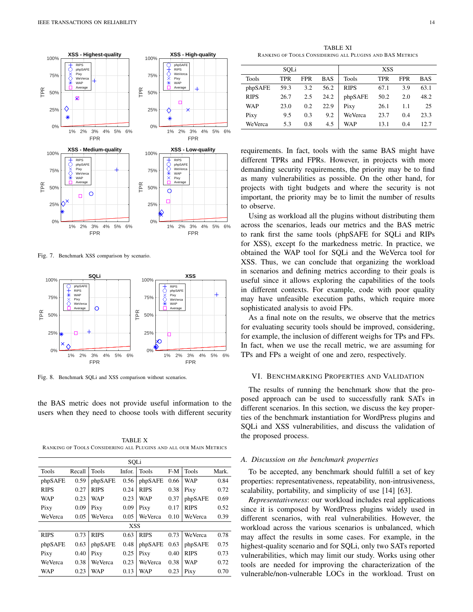

Fig. 7. Benchmark XSS comparison by scenario.



Fig. 8. Benchmark SQLi and XSS comparison without scenarios.

the BAS metric does not provide useful information to the users when they need to choose tools with different security

TABLE X RANKING OF TOOLS CONSIDERING ALL PLUGINS AND ALL OUR MAIN METRICS

| SOLi         |        |             |            |             |       |             |       |  |  |  |
|--------------|--------|-------------|------------|-------------|-------|-------------|-------|--|--|--|
| <b>Tools</b> | Recall | Tools       | Infor.     | Tools       | $F-M$ | Tools       | Mark. |  |  |  |
| phpSAFE      | 0.59   | phpSAFE     | 0.56       | phpSAFE     | 0.66  | <b>WAP</b>  | 0.84  |  |  |  |
| <b>RIPS</b>  | 0.27   | <b>RIPS</b> | 0.24       | <b>RIPS</b> | 0.38  | Pixy        | 0.72  |  |  |  |
| <b>WAP</b>   | 0.23   | <b>WAP</b>  | 0.23       | <b>WAP</b>  | 0.37  | phpSAFE     | 0.69  |  |  |  |
| Pixy         | 0.09   | Pixy        | 0.09       | Pixy        | 0.17  | <b>RIPS</b> | 0.52  |  |  |  |
| WeVerca      | 0.05   | WeVerca     | 0.05       | WeVerca     | 0.10  | WeVerca     | 0.39  |  |  |  |
|              |        |             | <b>XSS</b> |             |       |             |       |  |  |  |
| <b>RIPS</b>  | 0.73   | <b>RIPS</b> | 0.63       | <b>RIPS</b> | 0.73  | WeVerca     | 0.78  |  |  |  |
| phpSAFE      | 0.63   | phpSAFE     | 0.48       | phpSAFE     | 0.63  | phpSAFE     | 0.75  |  |  |  |
| Pixy         | 0.40   | Pixy        | 0.25       | Pixy        | 0.40  | <b>RIPS</b> | 0.73  |  |  |  |
| WeVerca      | 0.38   | WeVerca     | 0.23       | WeVerca     | 0.38  | <b>WAP</b>  | 0.72  |  |  |  |
| <b>WAP</b>   | 0.23   | <b>WAP</b>  | 0.13       | <b>WAP</b>  | 0.23  | Pixy        | 0.70  |  |  |  |

TABLE XI RANKING OF TOOLS CONSIDERING ALL PLUGINS AND BAS METRICS

| SOLi        |      |            |            | <b>XSS</b>   |            |     |            |
|-------------|------|------------|------------|--------------|------------|-----|------------|
| Tools       | TPR  | <b>FPR</b> | <b>BAS</b> | <b>Tools</b> | <b>TPR</b> | FPR | <b>BAS</b> |
| phpSAFE     | 59.3 | 3.2        | 56.2       | <b>RIPS</b>  | 67.1       | 3.9 | 63.1       |
| <b>RIPS</b> | 26.7 | 2.5        | 24.2       | phpSAFE      | 50.2       | 2.0 | 48.2       |
| <b>WAP</b>  | 23.0 | 0.2        | 22.9       | Pixy         | 26.1       | 1.1 | 25         |
| Pixy        | 9.5  | 0.3        | 9.2        | WeVerca      | 23.7       | 0.4 | 23.3       |
| WeVerca     | 5.3  | 0.8        | 4.5        | <b>WAP</b>   | 13.1       | 0.4 | 12.7       |

requirements. In fact, tools with the same BAS might have different TPRs and FPRs. However, in projects with more demanding security requirements, the priority may be to find as many vulnerabilities as possible. On the other hand, for projects with tight budgets and where the security is not important, the priority may be to limit the number of results to observe.

Using as workload all the plugins without distributing them across the scenarios, leads our metrics and the BAS metric to rank first the same tools (phpSAFE for SQLi and RIPs for XSS), except fo the markedness metric. In practice, we obtained the WAP tool for SQLi and the WeVerca tool for XSS. Thus, we can conclude that organizing the workload in scenarios and defining metrics according to their goals is useful since it allows exploring the capabilities of the tools in different contexts. For example, code with poor quality may have unfeasible execution paths, which require more sophisticated analysis to avoid FPs.

As a final note on the results, we observe that the metrics for evaluating security tools should be improved, considering, for example, the inclusion of different weighs for TPs and FPs. In fact, when we use the recall metric, we are assuming for TPs and FPs a weight of one and zero, respectively.

#### VI. BENCHMARKING PROPERTIES AND VALIDATION

The results of running the benchmark show that the proposed approach can be used to successfully rank SATs in different scenarios. In this section, we discuss the key properties of the benchmark instantiation for WordPress plugins and SQLi and XSS vulnerabilities, and discuss the validation of the proposed process.

#### *A. Discussion on the benchmark properties*

To be accepted, any benchmark should fulfill a set of key properties: representativeness, repeatability, non-intrusiveness, scalability, portability, and simplicity of use [14] [63].

*Representativeness*: our workload includes real applications since it is composed by WordPress plugins widely used in different scenarios, with real vulnerabilities. However, the workload across the various scenarios is unbalanced, which may affect the results in some cases. For example, in the highest-quality scenario and for SQLi, only two SATs reported vulnerabilities, which may limit our study. Works using other tools are needed for improving the characterization of the vulnerable/non-vulnerable LOCs in the workload. Trust on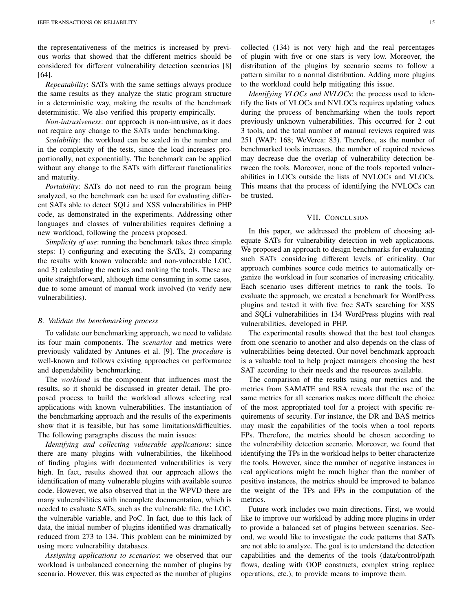the representativeness of the metrics is increased by previous works that showed that the different metrics should be considered for different vulnerability detection scenarios [8] [64].

*Repeatability*: SATs with the same settings always produce the same results as they analyze the static program structure in a deterministic way, making the results of the benchmark deterministic. We also verified this property empirically.

*Non-intrusiveness*: our approach is non-intrusive, as it does not require any change to the SATs under benchmarking.

*Scalability*: the workload can be scaled in the number and in the complexity of the tests, since the load increases proportionally, not exponentially. The benchmark can be applied without any change to the SATs with different functionalities and maturity.

*Portability*: SATs do not need to run the program being analyzed, so the benchmark can be used for evaluating different SATs able to detect SQLi and XSS vulnerabilities in PHP code, as demonstrated in the experiments. Addressing other languages and classes of vulnerabilities requires defining a new workload, following the process proposed.

*Simplicity of use*: running the benchmark takes three simple steps: 1) configuring and executing the SATs, 2) comparing the results with known vulnerable and non-vulnerable LOC, and 3) calculating the metrics and ranking the tools. These are quite straightforward, although time consuming in some cases, due to some amount of manual work involved (to verify new vulnerabilities).

#### *B. Validate the benchmarking process*

To validate our benchmarking approach, we need to validate its four main components. The *scenarios* and metrics were previously validated by Antunes et al. [9]. The *procedure* is well-known and follows existing approaches on performance and dependability benchmarking.

The *workload* is the component that influences most the results, so it should be discussed in greater detail. The proposed process to build the workload allows selecting real applications with known vulnerabilities. The instantiation of the benchmarking approach and the results of the experiments show that it is feasible, but has some limitations/difficulties. The following paragraphs discuss the main issues:

*Identifying and collecting vulnerable applications*: since there are many plugins with vulnerabilities, the likelihood of finding plugins with documented vulnerabilities is very high. In fact, results showed that our approach allows the identification of many vulnerable plugins with available source code. However, we also observed that in the WPVD there are many vulnerabilities with incomplete documentation, which is needed to evaluate SATs, such as the vulnerable file, the LOC, the vulnerable variable, and PoC. In fact, due to this lack of data, the initial number of plugins identified was dramatically reduced from 273 to 134. This problem can be minimized by using more vulnerability databases.

*Assigning applications to scenarios*: we observed that our workload is unbalanced concerning the number of plugins by scenario. However, this was expected as the number of plugins collected (134) is not very high and the real percentages of plugin with five or one stars is very low. Moreover, the distribution of the plugins by scenario seems to follow a pattern similar to a normal distribution. Adding more plugins to the workload could help mitigating this issue.

*Identifying VLOCs and NVLOCs*: the process used to identify the lists of VLOCs and NVLOCs requires updating values during the process of benchmarking when the tools report previously unknown vulnerabilities. This occurred for 2 out 3 tools, and the total number of manual reviews required was 251 (WAP: 168; WeVerca: 83). Therefore, as the number of benchmarked tools increases, the number of required reviews may decrease due the overlap of vulnerability detection between the tools. Moreover, none of the tools reported vulnerabilities in LOCs outside the lists of NVLOCs and VLOCs. This means that the process of identifying the NVLOCs can be trusted.

#### VII. CONCLUSION

In this paper, we addressed the problem of choosing adequate SATs for vulnerability detection in web applications. We proposed an approach to design benchmarks for evaluating such SATs considering different levels of criticality. Our approach combines source code metrics to automatically organize the workload in four scenarios of increasing criticality. Each scenario uses different metrics to rank the tools. To evaluate the approach, we created a benchmark for WordPress plugins and tested it with five free SATs searching for XSS and SQLi vulnerabilities in 134 WordPress plugins with real vulnerabilities, developed in PHP.

The experimental results showed that the best tool changes from one scenario to another and also depends on the class of vulnerabilities being detected. Our novel benchmark approach is a valuable tool to help project managers choosing the best SAT according to their needs and the resources available.

The comparison of the results using our metrics and the metrics from SAMATE and BSA reveals that the use of the same metrics for all scenarios makes more difficult the choice of the most appropriated tool for a project with specific requirements of security. For instance, the DR and BAS metrics may mask the capabilities of the tools when a tool reports FPs. Therefore, the metrics should be chosen according to the vulnerability detection scenario. Moreover, we found that identifying the TPs in the workload helps to better characterize the tools. However, since the number of negative instances in real applications might be much higher than the number of positive instances, the metrics should be improved to balance the weight of the TPs and FPs in the computation of the metrics.

Future work includes two main directions. First, we would like to improve our workload by adding more plugins in order to provide a balanced set of plugins between scenarios. Second, we would like to investigate the code patterns that SATs are not able to analyze. The goal is to understand the detection capabilities and the demerits of the tools (data/control/path flows, dealing with OOP constructs, complex string replace operations, etc.), to provide means to improve them.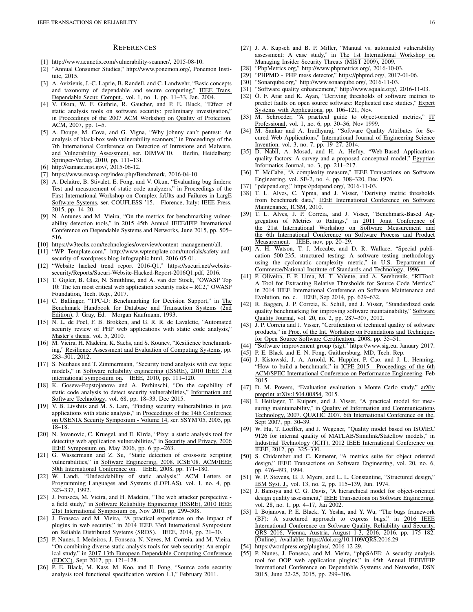#### **REFERENCES**

- [1] http://www.acunetix.com/vulnerability-scanner/, 2015-08-10.
- [2] "Annual Consumer Studies," http://www.ponemon.org/, Ponemon Institute, 2015.
- [3] A. Avizienis, J.-C. Laprie, B. Randell, and C. Landwehr, "Basic concepts and taxonomy of dependable and secure computing," IEEE Trans. Dependable Secur. Comput., vol. 1, no. 1, pp. 11–33, Jan. 2004.
- [4] V. Okun, W. F. Guthrie, R. Gaucher, and P. E. Black, "Effect of static analysis tools on software security: preliminary investigation," in Proceedings of the 2007 ACM Workshop on Quality of Protection.  $ACM$ , 2007, pp. 1-5.
- [5] A. Doupe, M. Cova, and G. Vigna, "Why johnny can't pentest: An analysis of black-box web vulnerability scanners," in Proceedings of the 7th International Conference on Detection of Intrusions and Malware, and Vulnerability Assessment, ser. DIMVA'10. Berlin, Heidelberg: Springer-Verlag, 2010, pp. 111–131.
- [6] http://samate.nist.gov/, 2015-06-12.
- [7] https://www.owasp.org/index.php/Benchmark, 2016-04-10.
- [8] A. Delaitre, B. Stivalet, E. Fong, and V. Okun, "Evaluating bug finders: Test and measurement of static code analyzers," in Proceedings of the First International Workshop on Complex faUlts and Failures in LargE Software Systems, ser. COUFLESS '15. Florence, Italy: IEEE Press, 2015, pp. 14–20.
- [9] N. Antunes and M. Vieira, "On the metrics for benchmarking vulnerability detection tools," in 2015 45th Annual IEEE/IFIP International Conference on Dependable Systems and Networks, June 2015, pp. 505– 516.
- [10] https://w3techs.com/technologies/overview/content\_management/all.
- [11] "WP Template.com," http://www.wptemplate.com/tutorials/safety-andsecurity-of-wordpress-blog-infographic.html, 2016-05-01.
- [12] "Website hacked trend report 2016-Q1," https://sucuri.net/websitesecurity/Reports/Sucuri-Website-Hacked-Report-2016Q1.pdf, 2016.
- [13] T. Gigler, B. Glas, N. Smithline, and A. van der Stock, "OWASP Top 10: The ten most critical web application security risks – RC2," OWASP Foundation, Tech. Rep., 2017.
- [14] C. Ballinger, "TPC-D: Benchmarking for Decision Support," in The Benchmark Handbook for Database and Transaction Systems (2nd Edition), J. Gray, Ed. Morgan Kaufmann, 1993.
- [15] N. L. de Poel, F. B. Brokken, and G. R. R. de Lavalette, "Automated security review of PHP web applications with static code analysis," Master's thesis, vol. 5, 2010.
- [16] M. Vieira, H. Madeira, K. Sachs, and S. Kounev, "Resilience benchmarking," Resilience Assessment and Evaluation of Computing Systems, pp. 283–301, 2012.
- [17] S. Neuhaus and T. Zimmermann, "Security trend analysis with cve topic models," in Software reliability engineering (ISSRE), 2010 IEEE 21st international symposium on. IEEE, 2010, pp. 111–120.
- [18] K. Goseva-Popstojanova and A. Perhinschi, "On the capability of static code analysis to detect security vulnerabilities," Information and Software Technology, vol. 68, pp. 18–33, Dec 2015.
- [19] V. B. Livshits and M. S. Lam, "Finding security vulnerabilities in java applications with static analysis," in Proceedings of the 14th Conference on USENIX Security Symposium - Volume 14, ser. SSYM'05, 2005, pp.  $18-18.$
- [20] N. Jovanovic, C. Kruegel, and E. Kirda, "Pixy: a static analysis tool for detecting web application vulnerabilities," in Security and Privacy, 2006 IEEE Symposium on, May 2006, pp. 6 pp.–263.
- [21] G. Wassermann and Z. Su, "Static detection of cross-site scripting vulnerabilities," in Software Engineering, 2008. ICSE'08. ACM/IEEE 30th International Conference on. IEEE, 2008, pp. 171–180.
- [22] W. Landi, "Undecidability of static analysis," ACM Letters on Programming Languages and Systems (LOPLAS), vol. 1, no. 4, pp. 323–337, 1992.
- [23] J. Fonseca, M. Vieira, and H. Madeira, "The web attacker perspective a field study," in Software Reliability Engineering (ISSRE), 2010 IEEE 21st International Symposium on, Nov 2010, pp. 299–308.
- [24] J. Fonseca and M. Vieira, "A practical experience on the impact of plugins in web security," in 2014 IEEE 33rd International Symposium on Reliable Distributed Systems (SRDS). IEEE, 2014, pp. 21–30.
- [25] P. Nunes, I. Medeiros, J. Fonseca, N. Neves, M. Correia, and M. Vieira, "On combining diverse static analysis tools for web security: An empirical study," in 2017 13th European Dependable Computing Conference (EDCC), Sept 2017, pp. 121–128.
- [26] P. E. Black, M. Kass, M. Koo, and E. Fong, "Source code security analysis tool functional specification version 1.1," February 2011.
- 
- [27] J. A. Kupsch and B. P. Miller, "Manual vs. automated vulnerability assessment: A case study," in The 1st International Workshop on Managing Insider Security Threats (MIST 2009), 2009.
- [28] "PhpMetrics.org," http://www.phpmetrics.org/, 2016-10-03. [29] "PHPMD - PHP mess detector," https://phpmd.org/, 2017-01-06.
- 
- [30] "Sonarqube.org," http://www.sonarqube.org/, 2016-11-03.<br>[31] "Software quality enhancement," http://www.squale.org/, "Software quality enhancement," http://www.squale.org/, 2016-11-03.
- [32] Ö. F. Arar and K. Ayan, "Deriving thresholds of software metrics to predict faults on open source software: Replicated case studies," Expert Systems with Applications, pp. 106–121, Nov.
- [33] M. Schroeder, "A practical guide to object-oriented metrics," IT Professional, vol. 1, no. 6, pp. 30–36, Nov 1999.
- [34] M. Sankar and A. Irudhyaraj, "Software Quality Attributes for Secured Web Applications," International Journal of Engineering Science Invention, vol. 3, no. 7, pp. 19–27, 2014.
- [35] D. Nabil, A. Mosad, and H. A. Hefny, "Web-Based Applications quality factors: A survey and a proposed conceptual model," Egyptian Informatics Journal, no. 3, pp. 211–217.
- [36] T. McCabe, "A complexity measure," IEEE Transactions on Software Engineering, vol. SE-2, no. 4, pp. 308–320, Dec 1976.
- [37] "pdepend.org," https://pdepend.org/, 2016-11-03.
- [38] T. L. Alves, C. Ypma, and J. Visser, "Deriving metric thresholds from benchmark data," IEEE International Conference on Software Maintenance, ICSM, 2010.
- [39] T. L. Alves, J. P. Correia, and J. Visser, "Benchmark-Based Aggregation of Metrics to Ratings," in 2011 Joint Conference of the 21st International Workshop on Software Measurement and the 6th International Conference on Software Process and Product Measurement. IEEE, nov, pp. 20–29.
- [40] A. H. Watson, T. J. Mccabe, and D. R. Wallace, "Special publication 500-235, structured testing: A software testing methodology using the cyclomatic complexity metric," in U.S. Department of Commerce/National Institute of Standards and Technology, 1996.
- [41] P. Oliveira, F. P. Lima, M. T. Valente, and A. Serebrenik, "RTTool: A Tool for Extracting Relative Thresholds for Source Code Metrics," in 2014 IEEE International Conference on Software Maintenance and Evolution, no. c. IEEE, Sep 2014, pp. 629–632.
- [42] R. Baggen, J. P. Correia, K. Schill, and J. Visser, "Standardized code quality benchmarking for improving software maintainability," Software Quality Journal, vol. 20, no. 2, pp. 287–307, 2012.
- [43] J. P. Correia and J. Visser, "Certification of technical quality of software products," in Proc. of the Int. Workshop on Foundations and Techniques for Open Source Software Certification, 2008, pp. 35–51.
- [44] "Software improvement group (sig)," https://www.sig.eu, January 2017.
- [45] P. E. Black and E. N. Fong, Gaithersburg, MD, Tech. Rep.
- [46] J. Kistowski, J. A. Arnold, K. Huppler, P. Cao, and J. L. Henning, "How to build a benchmark," in ICPE 2015 - Proceedings of the 6th ACM/SPEC International Conference on Performance Engineering, Feb 2015.
- [47] D. M. Powers, "Evaluation evaluation a Monte Carlo study," arXiv preprint arXiv:1504.00854, 2015.
- [48] I. Heitlager, T. Kuipers, and J. Visser, "A practical model for measuring maintainability," in Quality of Information and Communications Technology, 2007. QUATIC 2007. 6th International Conference on the, Sept 2007, pp. 30–39.
- [49] W. Hu, T. Loeffler, and J. Wegener, "Quality model based on ISO/IEC 9126 for internal quality of MATLAB/Simulink/Stateflow models," in Industrial Technology (ICIT), 2012 IEEE International Conference on. IEEE, 2012, pp. 325–330.
- [50] S. Chidamber and C. Kemerer, "A metrics suite for object oriented design," IEEE Transactions on Software Engineering, vol. 20, no. 6, pp. 476–493, 1994.
- [51] W. P. Stevens, G. J. Myers, and L. L. Constantine, "Structured design," IBM Syst. J., vol. 13, no. 2, pp. 115–139, Jun. 1974.
- [52] J. Bansiya and C. G. Davis, "A hierarchical model for object-oriented design quality assessment," IEEE Transactions on Software Engineering, vol. 28, no. 1, pp. 4–17, Jan 2002.
- [53] I. Bojanova, P. E. Black, Y. Yesha, and Y. Wu, "The bugs framework (BF): A structured approach to express bugs," in 2016 IEEE International Conference on Software Quality, Reliability and Security, QRS 2016, Vienna, Austria, August 1-3, 2016, 2016, pp. 175–182. [Online]. Available: https://doi.org/10.1109/QRS.2016.29
- [54] https://wordpress.org/plugins/, 2016-12-29.
- [55] P. Nunes, J. Fonseca, and M. Vieira, "phpSAFE: A security analysis tool for OOP web application plugins," in 45th Annual IEEE/IFIP International Conference on Dependable Systems and Networks, DSN 2015, June 22-25, 2015, pp. 299–306.